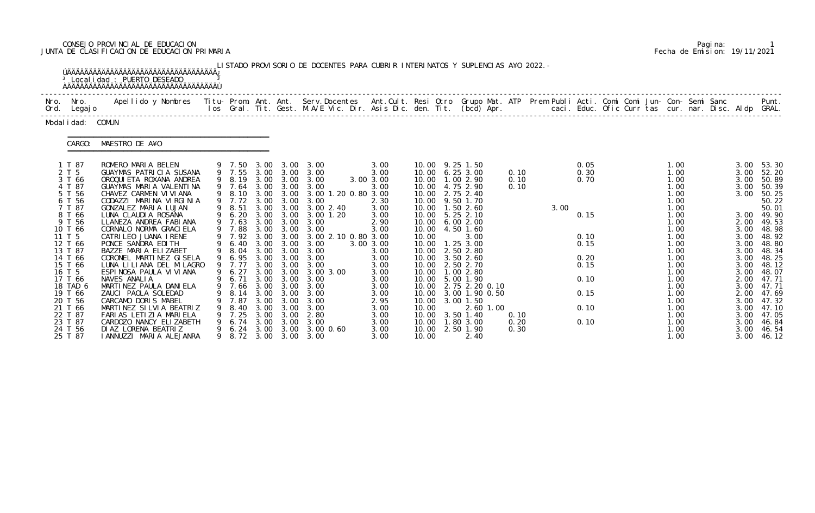# CONSEJO PROVINCIAL DE EDUCACION Pagina: 1 JUNTA DE CLASIFICACION DE EDUCACION PRIMARIA Fecha de Emision: 19/11/2021

|                                                                                   | <sup>3</sup> Local i dad : PUERTO DESEADO<br><u>ŇÄÄÄÄÄÄÄÄÄÄÄÄÄÄÄÄÄÄÄÄÄÄÄÄÄÄÄÄÄÄÄÄÄÄ</u>                                                                                                                                           |                                                                               |                      |                                                        | LISTADO PROVISORIO DE DOCENTES PARA CUBRIR INTERINATOS Y SUPLENCIAS A¥O 2022. -                                                   |                                                           |                                           |                                                                                                                                       |                      |      |                                      |  |                                                              |  |                                                              |                                                                      |
|-----------------------------------------------------------------------------------|-----------------------------------------------------------------------------------------------------------------------------------------------------------------------------------------------------------------------------------|-------------------------------------------------------------------------------|----------------------|--------------------------------------------------------|-----------------------------------------------------------------------------------------------------------------------------------|-----------------------------------------------------------|-------------------------------------------|---------------------------------------------------------------------------------------------------------------------------------------|----------------------|------|--------------------------------------|--|--------------------------------------------------------------|--|--------------------------------------------------------------|----------------------------------------------------------------------|
| Nro. Nro.<br>Ord. Legajo                                                          | Apellido y Nombres  Titu- Prom. Ant. Ant.  Serv.Docentes  Ant.Cult. Resi Otro  Grupo Mat. ATP  Prem Publi Acti. Comi Comi Jun- Con- Semi Sanc              Punt.<br>Ios Gral. Tit. Gest. M.A/E Vic. Dir. Asis Dic. den. Tit. (bcd |                                                                               |                      |                                                        |                                                                                                                                   |                                                           |                                           |                                                                                                                                       |                      |      |                                      |  |                                                              |  |                                                              |                                                                      |
| Modal i dad: COMUN                                                                |                                                                                                                                                                                                                                   |                                                                               |                      |                                                        |                                                                                                                                   |                                                           |                                           |                                                                                                                                       |                      |      |                                      |  |                                                              |  |                                                              |                                                                      |
| CARGO:                                                                            | MAESTRO DE A¥O                                                                                                                                                                                                                    |                                                                               |                      |                                                        |                                                                                                                                   |                                                           |                                           |                                                                                                                                       |                      |      |                                      |  |                                                              |  |                                                              |                                                                      |
| 1 T 87<br>2 T 5<br>3 T 66<br>4 T 87<br>5 T 56<br>6 T 56<br>7 T 87                 | ROMERO MARIA BELEN<br>GUAYMAS PATRICIA SUSANA<br>OROQUI ETA ROXANA ANDREA<br>GUAYMAS MARIA VALENTINA<br>CHAVEZ CARMEN VI VI ANA<br>CODAZZI MARINA VIRGINIA<br>GONZALEZ MARIA LUJAN                                                | 9 7.50 3.00<br>9 8.19<br>9 7.64<br>9 7.72 3.00 3.00<br>9 8.51                 | 3.00<br>3.00         | 3.00<br>3.00                                           | $3.00 \quad 3.00$<br>9 7.55 3.00 3.00 3.00<br>3.00 3.00 3.00<br>3.00<br>9 8.10 3.00 3.00 3.00 1.20 0.80 3.00<br>3.00<br>3.00 2.40 | 3.00<br>3.00<br>3.00 3.00<br>3.00<br>2.30<br>3.00         |                                           | 10.00 9.25 1.50<br>10.00 6.25 3.00<br>10.00  1.00  2.90<br>10.00 4.75 2.90<br>10.00 2.75 2.40<br>10.00 9.50 1.70<br>10.00  1.50  2.60 | 0.10<br>0.10<br>0.10 | 3.00 | 0.05<br>0.30<br>0.70                 |  | 1.00<br>1.00<br>1.00<br>1.00<br>1.00<br>1.00<br>1.00         |  | 3.00<br>3.00<br>3.00<br>3.00<br>3.00                         | 53.30<br>52.20<br>50.89<br>50.39<br>50.25<br>50.22<br>50.01          |
| 8 T 66<br>9 T 56<br>10 T 66<br>11 T 5<br>12 T 66<br>13 T 87<br>14 T 66<br>15 T 66 | LUNA CLAUDIA ROSANA<br>LLANEZA ANDREA FABIANA<br>CORNALO NORMA GRACI ELA<br>CATRILEO JUANA IRENE<br>PONCE SANDRA EDITH<br>BAZZE MARIA ELIZABET<br>CORONEL MARTINEZ GISELA<br>LUNA LILIANA DEL MILAGRO                             | 9 6.20<br>9 7.63<br>9 7.88<br>9 7.92 3.00<br>6.40<br>8.04<br>9 6.95<br>9 7.77 | 3.00<br>3.00<br>3.00 | 3.00<br>3.00<br>3.00<br>3.00 3.00<br>3.00<br>3.00 3.00 | 3.00 3.00 3.00 1.20<br>3.00<br>3.00<br>3.00 2.10 0.80 3.00<br>3.00<br>3.00<br>3.00 3.00 3.00<br>3.00                              | 3.00<br>2.90<br>3.00<br>3.00 3.00<br>3.00<br>3.00<br>3.00 | 10.00<br>10.00<br>10.00<br>10.00<br>10.00 | 10.00 5.25 2.10<br>10.00 6.00 2.00<br>4.50 1.60<br>3.00<br>$1.25$ $3.00$<br>2.50 2.80<br>3.50 2.60<br>10.00 2.50 2.70                 |                      |      | 0.15<br>0.10<br>0.15<br>0.20<br>0.15 |  | 1.00<br>1.00<br>1.00<br>1.00<br>1.00<br>1.00<br>1.00<br>1.00 |  | 3.00<br>2.00<br>3.00<br>3.00<br>3.00<br>3.00<br>3.00<br>3.00 | 49.90<br>49.53<br>48.98<br>48.92<br>48.80<br>48.34<br>48.25<br>48.12 |
| 16 T 5<br>17 T 66<br>18 TAD 6<br>19 T 66<br>20 T 56<br>21 T 66                    | ESPINOSA PAULA VI VI ANA<br>NAVES ANALIA<br>MARTINEZ PAULA DANIELA<br>ZAUCI PAOLA SOLEDAD<br>CARCAMO DORIS MABEL<br>MARTINEZ SILVIA BEATRIZ                                                                                       | 9 6.27<br>9 6.71 3.00 3.00<br>8.14<br>7.87<br>8.40                            | 3.00<br>3.00<br>3.00 | 3.00 3.00<br>3.00<br>3.00<br>3.00                      | 3.00 3.00<br>3.00<br>9 7.66 3.00 3.00 3.00<br>3.00<br>3.00<br>3.00                                                                | 3.00<br>3.00<br>3.00<br>3.00<br>2.95<br>3.00              | 10.00<br>10.00                            | 10.00  1.00  2.80<br>10.00 5.00 1.90<br>10.00 2.75 2.20 0.10<br>10.00 3.00 1.90 0.50<br>3.00 1.50<br>2.60 1.00                        |                      |      | 0.10<br>0.15<br>0.10                 |  | 1.00<br>1.00<br>1.00<br>1.00<br>1.00<br>1.00                 |  | 3.00<br>2.00<br>3.00<br>2.00<br>3.00<br>3.00                 | 48.07<br>47.71<br>47.71<br>47.69<br>47.32<br>47.10                   |
| 22 T 87<br>23 T 87<br>24 T 56<br>25 T 87                                          | FARIAS LETIZIA MARIELA<br>CARDOZO NANCY ELIZABETH<br>DI AZ LORENA BEATRIZ<br>IANNUZZI MARIA ALEJANRA                                                                                                                              | 7.25<br>6.74<br>6. 24<br>9 8.72 3.00                                          | 3.00<br>3.00         | 3.00<br>3.00                                           | 2.80<br>3.00<br>3.00 3.00 3.00 0.60<br>3.00 3.00                                                                                  | 3.00<br>3.00<br>3.00<br>3.00                              | 10.00<br>10.00<br>10.00<br>10.00          | 3.50 1.40<br>1.80 3.00<br>2.50 1.90<br>2.40                                                                                           | 0.10<br>0.20<br>0.30 |      | 0.10                                 |  | 1.00<br>1.00<br>1.00<br>1.00                                 |  | 3.00<br>3.00<br>3.00<br>3.00                                 | 47.05<br>46.84<br>46.54<br>46.12                                     |

|  | Pagi na: |                              |
|--|----------|------------------------------|
|  |          | Fecha de Emision: 19/11/2021 |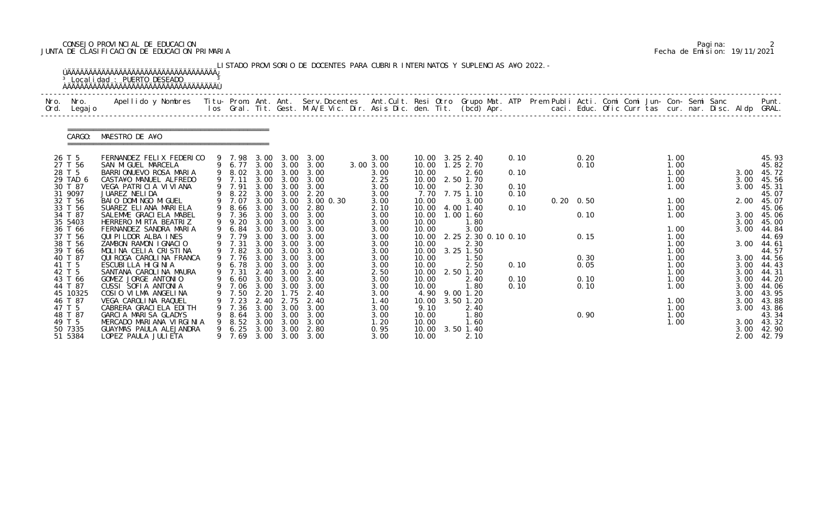## CONSEJO PROVINCIAL DE EDUCACION Pagina: 2 JUNTA DE CLASIFICACION DE EDUCACION PRIMARIA Fecha de Emision: 19/11/2021

| Nro.<br>Ord. | Nro.<br>Legaj o    | Apellido y Nombres - Titu- Prom. Ant. Ant. Serv.Docentes - Ant.Cult. Resi Otro Grupo Mat. ATP - Prem Publi Acti. Comi Comi Jun- Con- Semi Sanc |   |        |       |           | los Gral. Tit. Gest. M.A/E Vic. Dir. Asis Dic. den. Tit. (bcd) Apr.       caci. Educ. Ofic Curr tas cur. nar. Disc. Aldp GRAL. |              |                   |                         |      |                   |      |  |              |              | Punt.               |
|--------------|--------------------|------------------------------------------------------------------------------------------------------------------------------------------------|---|--------|-------|-----------|--------------------------------------------------------------------------------------------------------------------------------|--------------|-------------------|-------------------------|------|-------------------|------|--|--------------|--------------|---------------------|
|              | CARGO:             | MAESTRO DE A¥O                                                                                                                                 |   |        |       |           |                                                                                                                                |              |                   |                         |      |                   |      |  |              |              |                     |
|              | 26 T 5             | FERNANDEZ FELIX FEDERICO                                                                                                                       |   |        |       |           | 9 7.98 3.00 3.00 3.00                                                                                                          | 3.00         | 10.00 3.25 2.40   |                         | 0.10 |                   | 0.20 |  | 1.00         |              | 45.93               |
|              | 27 T 56            | SAN MIGUEL MARCELA                                                                                                                             |   |        |       |           | 9 6.77 3.00 3.00 3.00                                                                                                          | 3.00 3.00    | 10.00  1.25  2.70 |                         |      |                   | 0.10 |  | 1.00         |              | 45.82               |
|              | 28 T 5<br>29 TAD 6 | BARRIONUEVO ROSA MARIA<br>CASTA¥O MANUEL ALFREDO                                                                                               |   | 9 7.11 |       |           | 9 8.02 3.00 3.00 3.00<br>3.00 3.00 3.00                                                                                        | 3.00<br>2.25 | 10.00<br>10.00    | 2.60<br>2.50 1.70       | 0.10 |                   |      |  | 1.00<br>1.00 | 3.00<br>3.00 | 45.72<br>45.56      |
|              | 30 T 87            | VEGA PATRICIA VIVIANA                                                                                                                          |   | 9 7.91 |       |           | 3.00 3.00 3.00                                                                                                                 | 3.00         | 10.00             | 2.30                    | 0.10 |                   |      |  | 1.00         | 3.00         | 45.31               |
|              | 31 9097            | JUAREZ NELIDA                                                                                                                                  |   |        |       |           | 9 8.22 3.00 3.00 2.20                                                                                                          | 3.00         | 7.70 7.75 1.10    |                         | 0.10 |                   |      |  |              |              | 45.07               |
|              | 32 T 56            | BAIO DOMINGO MIGUEL                                                                                                                            |   | 9 7.07 |       |           | 3.00 3.00 3.00 0.30                                                                                                            | 3.00         | 10.00             | 3.00                    |      | $0.20 \quad 0.50$ |      |  | 1.00         | 2.00         | 45.07               |
|              | 33 T 56            | SUAREZ ELIANA MARIELA                                                                                                                          |   | 9 8.66 | 3.00  | 3.00      | 2.80                                                                                                                           | 2.10         | 10.00             | 4.00 1.40               | 0.10 |                   |      |  | 1.00         |              | 45.06               |
|              | 34 T 87            | SALEMME GRACIELA MABEL                                                                                                                         |   |        |       |           | 9 7.36 3.00 3.00 3.00                                                                                                          | 3.00         | 10.00             | $1.00$ $1.60$           |      |                   | 0.10 |  | 1.00         |              | 3.00 45.06          |
|              | 35 5403            | HERRERO MIRTA BEATRIZ                                                                                                                          |   | 9 9.20 |       |           | 3.00 3.00 3.00                                                                                                                 | 3.00         | 10.00             | 1.80                    |      |                   |      |  |              | 3.00         | 45.00               |
|              | 36 T 66            | FERNANDEZ SANDRA MARIA                                                                                                                         |   | 9 6.84 | 3.00  |           | 3.00 3.00                                                                                                                      | 3.00         | 10.00             | 3.00                    |      |                   |      |  | 1.00         | 3.00         | 44.84               |
|              | 37 T 56            | QUI PI LDOR ALBA INES                                                                                                                          |   | 9 7.79 |       | 3.00 3.00 | 3.00                                                                                                                           | 3.00         | 10.00             | 2. 25 2. 30 0. 10 0. 10 |      |                   | 0.15 |  | 1.00         |              | 44.69               |
|              | 38 T 56            | ZAMBON RAMON IGNACIO                                                                                                                           |   | 9 7.31 | 3.00  | 3.00      | 3.00                                                                                                                           | 3.00         | 10.00             | 2.30                    |      |                   |      |  | 1.00         | 3.00         | 44.61               |
|              | 39 T 66<br>40 T 87 | MOLINA CELIA CRISTINA<br>QUI ROGA CAROLINA FRANCA                                                                                              |   | 9 7.82 | 3.00  | 3.00      | 3.00                                                                                                                           | 3.00         | 10.00             | $3.25$ 1.50             |      |                   | 0.30 |  | 1.00<br>1.00 |              | 44.57               |
|              | 41 T 5             | ESCUBILLA HIGINIA                                                                                                                              |   | 9 6.78 |       | 3.00 3.00 | 9 7.76 3.00 3.00 3.00<br>3.00                                                                                                  | 3.00<br>3.00 | 10.00<br>10.00    | 1.50<br>2.50            | 0.10 |                   | 0.05 |  | 1.00         | 3.00         | 3.00 44.56<br>44.43 |
|              | 42 T 5             | SANTANA CAROLINA MAURA                                                                                                                         |   | 9 7.31 |       |           | 2.40 3.00 2.40                                                                                                                 | 2.50         | 10.00             | 2.50 1.20               |      |                   |      |  | 1.00         | 3.00         | 44.31               |
|              | 43 T 66            | GOMEZ JORGE ANTONIO                                                                                                                            |   |        |       |           | 9 6.60 3.00 3.00 3.00                                                                                                          | 3.00         | 10.00             | 2.40                    | 0.10 |                   | 0.10 |  | 1.00         | 3.00         | 44.20               |
|              | 44 T 87            | CUSSI SOFIA ANTONIA                                                                                                                            |   |        |       |           | 9 7.06 3.00 3.00 3.00                                                                                                          | 3.00         | 10.00             | 1.80                    | 0.10 |                   | 0.10 |  | 1.00         | 3.00         | 44.06               |
|              | 45 10325           | COSIO VILMA ANGELINA                                                                                                                           |   | 7.50   | 2. 20 | 1.75      | -2.40                                                                                                                          | 3.00         | 4.90 9.00 1.20    |                         |      |                   |      |  |              | 3.00         | 43.95               |
|              | 46 T 87            | VEGA CAROLINA RAQUEL                                                                                                                           |   | 7.23   | 2.40  | 2.75      | 2.40                                                                                                                           | 1.40         | 10.00             | 3.50 1.20               |      |                   |      |  | 1.00         | 3.00         | 43.88               |
|              | 47 T 5             | CABRERA GRACI ELA EDI TH                                                                                                                       |   | 7.36   | 3.00  | 3.00      | 3.00                                                                                                                           | 3.00         | 9.10              | 2.40                    |      |                   |      |  | 1.00         | 3.00         | 43.86               |
|              | 48 T 87            | GARCIA MARISA GLADYS                                                                                                                           |   | 8.64   | 3.00  | 3.00      | 3.00                                                                                                                           | 3.00         | 10.00             | 1.80                    |      |                   | 0.90 |  | 1.00         |              | 43.34               |
|              | 49 T 5             | MERCADO MARIANA VIRGINIA                                                                                                                       |   | 8.52   | 3.00  | 3.00      | 3.00                                                                                                                           | 1.20         | 10.00             | 1.60                    |      |                   |      |  | 1.00         | 3.00         | 43.32               |
|              | 50 7335            | GUAYMAS PAULA ALEJANDRA                                                                                                                        | 9 | 6.25   | 3.00  | 3.00      | 2.80                                                                                                                           | 0.95         | 10.00             | $3.50$ 1.40             |      |                   |      |  |              | 3.00         | 42.90               |
|              | 51 5384            | LOPEZ PAULA JULI ETA                                                                                                                           |   | 9 7.69 | 3.00  | 3.00      | 3.00                                                                                                                           | 3.00         | 10.00             | 2.10                    |      |                   |      |  |              | 2.00         | 42.79               |

|  | Pagi na: |                              |
|--|----------|------------------------------|
|  |          | Fecha de Emision: 19/11/2021 |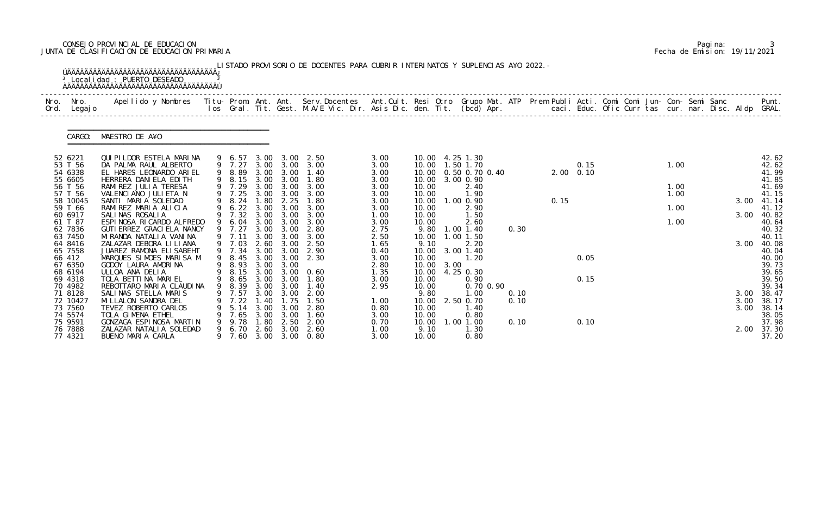## CONSEJO PROVINCIAL DE EDUCACION Pagina: 3 JUNTA DE CLASIFICACION DE EDUCACION PRIMARIA Fecha de Emision: 19/11/2021

| Nro.<br>Ord. | Nro.<br>Legaj o     | Apellido y Nombres  Titu- Prom. Ant. Ant. Serv.Docentes  Ant.Cult. Resi Otro Grupo Mat. ATP Prem Publi Acti. Comi Comi Jun- Con- Semi Sanc         Punt.<br>Ios Gral. Tit. Gest. M.A/E Vic. Dir. Asis Dic. den. Tit. (bcd) Apr. |   |                  |              |                   |                               |              |                            |      |                            |      |      |                   |  |      |  |      |                |
|--------------|---------------------|---------------------------------------------------------------------------------------------------------------------------------------------------------------------------------------------------------------------------------|---|------------------|--------------|-------------------|-------------------------------|--------------|----------------------------|------|----------------------------|------|------|-------------------|--|------|--|------|----------------|
|              | CARGO:              | MAESTRO DE A¥O                                                                                                                                                                                                                  |   |                  |              |                   |                               |              |                            |      |                            |      |      |                   |  |      |  |      |                |
|              | 52 6221             | QUI PI LDOR ESTELA MARINA                                                                                                                                                                                                       |   | 9 6.57           |              |                   | 3.00 3.00 2.50                | 3.00         | 10.00 4.25 1.30            |      |                            |      |      |                   |  |      |  |      | 42.62          |
|              | 53 T 56<br>54 6338  | DA PALMA RAUL ALBERTO<br>EL HARES LEONARDO ARIEL                                                                                                                                                                                |   | 9 7.27<br>9 8.89 | 3.00         | 3.00              | 3.00 3.00 3.00<br>1.40        | 3.00<br>3.00 | 10.00  1.50  1.70<br>10.00 |      | 0.50 0.70 0.40             |      |      | 0.15<br>2.00 0.10 |  | 1.00 |  |      | 42.62<br>41.99 |
|              | 55 6605             | HERRERA DANIELA EDITH                                                                                                                                                                                                           |   | 9 8.15           | 3.00         | 3.00              | 1.80                          | 3.00         | 10.00                      |      | 3.00 0.90                  |      |      |                   |  |      |  |      | 41.85          |
|              | 56 T 56             | RAMIREZ JULIA TERESA                                                                                                                                                                                                            |   | 9 7.29           |              |                   | 3.00 3.00 3.00                | 3.00         | 10.00                      |      | 2.40                       |      |      |                   |  | 1.00 |  |      | 41.69          |
|              | 57 T 56<br>58 10045 | VALENCIANO JULIETA N<br>SANTI MARIA SOLEDAD                                                                                                                                                                                     |   | 9 7.25<br>9 8.24 | 3.00<br>1.80 | 3.00<br>2.25      | 3.00<br>1.80                  | 3.00<br>3.00 | 10.00<br>10.00             |      | 1.90<br>1.00 0.90          |      | 0.15 |                   |  | 1.00 |  | 3.00 | 41.15<br>41.14 |
|              | 59 T 66             | RAMIREZ MARIA ALICIA                                                                                                                                                                                                            |   | 9 6.22           |              | 3.00 3.00         | 3.00                          | 3.00         | 10.00                      |      | 2.90                       |      |      |                   |  | 1.00 |  |      | 41.12          |
|              | 60 6917             | SALINAS ROSALIA                                                                                                                                                                                                                 |   | 9 7.32           | 3.00         | 3.00              | 3.00                          | 1.00         | 10.00                      |      | 1.50                       |      |      |                   |  |      |  | 3.00 | 40.82          |
|              | 61 T 87             | ESPINOSA RICARDO ALFREDO                                                                                                                                                                                                        |   | 9 6.04           | 3.00         | 3.00              | 3.00                          | 3.00         | 10.00                      |      | 2.60                       |      |      |                   |  | 1.00 |  |      | 40.64          |
|              | 62 7836<br>63 7450  | GUTI ERREZ GRACI ELA NANCY<br>MI RANDA NATALI A VANI NA                                                                                                                                                                         |   | 9 7.27<br>9 7.11 | 3.00         | 3.00 3.00<br>3.00 | 2.80<br>3.00                  | 2.75<br>2.50 | 9.80<br>10.00              |      | $1.00$ $1.40$<br>1.00 1.50 | 0.30 |      |                   |  |      |  |      | 40.32<br>40.11 |
|              | 64 8416             | ZALAZAR DEBORA LI LI ANA                                                                                                                                                                                                        |   | 9 7.03           | 2.60         | 3.00              | 2.50                          | 1.65         | 9.10                       |      | 2.20                       |      |      |                   |  |      |  | 3.00 | 40.08          |
|              | 65 7558             | JUAREZ RAMONA ELISABEHT                                                                                                                                                                                                         |   | 9 7.34           |              |                   | 3.00 3.00 2.90                | 0.40         | 10.00                      |      | 3.00 1.40                  |      |      |                   |  |      |  |      | 40.04          |
|              | 66 412              | MARQUES SIMOES MARISA M                                                                                                                                                                                                         |   | 8.45             | 3.00         | 3.00              | 2.30                          | 3.00         | 10.00                      |      | 1.20                       |      |      | 0.05              |  |      |  |      | 40.00          |
|              | 67 6350             | GODOY LAURA AMORINA                                                                                                                                                                                                             |   | 9 8.93           | 3.00         | 3.00              |                               | 2.80         | 10.00                      | 3.00 |                            |      |      |                   |  |      |  |      | 39.73          |
|              | 68 6194<br>69 4318  | ULLOA ANA DELIA<br>TOLA BETTINA MARIEL                                                                                                                                                                                          |   | 9 8.65           | 3.00         | 3.00              | 9 8.15 3.00 3.00 0.60<br>1.80 | 1.35<br>3.00 | 10.00 4.25 0.30<br>10.00   |      | 0.90                       |      |      | 0.15              |  |      |  |      | 39.65<br>39.50 |
|              | 70 4982             | REBOTTARO MARIA CLAUDINA                                                                                                                                                                                                        |   | 9 8.39           |              | 3.00 3.00         | 1.40                          | 2.95         | 10.00                      |      | 0.70 0.90                  |      |      |                   |  |      |  |      | 39.34          |
|              | 71 8128             | SALINAS STELLA MARIS                                                                                                                                                                                                            |   | 7.57             | 3.00         | 3.00              | 2.00                          |              | 9.80                       |      | 1.00                       | 0.10 |      |                   |  |      |  | 3.00 | 38.47          |
|              | 72 10427            | MI LLALON SANDRA DEL                                                                                                                                                                                                            |   | 7.22             |              | . 75              | 1.50                          | 1.00         | 10.00                      |      | 2.50 0.70                  | 0.10 |      |                   |  |      |  | 3.00 | 38.17          |
|              | 73 7560<br>74 5574  | TEVEZ ROBERTO CARLOS<br>TOLA GIMENA ETHEL                                                                                                                                                                                       |   | 5.14             | 3.00<br>3.00 | 3.00              | 2.80                          | 0.80         | 10.00                      |      | 1.40                       |      |      |                   |  |      |  | 3.00 | 38.14<br>38.05 |
|              | 75 9591             | GONZAGA ESPINOSA MARTIN                                                                                                                                                                                                         |   | 7.65<br>9.78     | . 80         | 3.00<br>2.50      | 1.60<br>2.00                  | 3.00<br>0.70 | 10.00<br>10.00             |      | 0.80<br>1.00 1.00          | 0.10 |      | 0.10              |  |      |  |      | 37.98          |
|              | 76 7888             | ZALAZAR NATALIA SOLEDAD                                                                                                                                                                                                         | 9 | 6. 70            | 2.60         | 3.00              | 2.60                          | 1.00         | 9.10                       |      | 1.30                       |      |      |                   |  |      |  | 2.00 | 37.30          |
|              | 77 4321             | BUENO MARIA CARLA                                                                                                                                                                                                               |   | 7.60             |              |                   | 3.00 3.00 0.80                | 3.00         | 10.00                      |      | 0.80                       |      |      |                   |  |      |  |      | 37.20          |

|  | Pagi na: |                              |
|--|----------|------------------------------|
|  |          | Fecha de Emision: 19/11/2021 |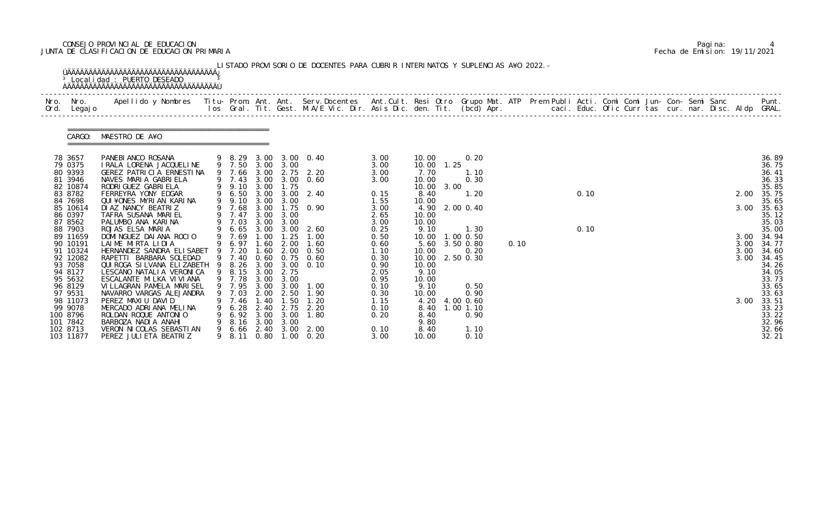## CONSEJO PROVINCIAL DE EDUCACION Pagina: 4 JUNTA DE CLASIFICACION DE EDUCACION PRIMARIA Fecha de Emision: 19/11/2021

| Nro. Nro.<br>Ord. Legajo                                                                   | Apellido y Nombres  Titu- Prom. Ant. Ant.  Serv.Docentes  Ant.Cult. Resi Otro  Grupo Mat. ATP  Prem Publi Acti. Comi Comi Jun- Con- Semi Sanc              Punt.<br>Ios Gral. Tit. Gest. M.A/E Vic. Dir. Asis Dic. den. Tit. (bcd |        |                                                               |                                                      |                                          |                                                                                             |                                                              |                                                                |            |                                                                    |      |  |      |  |  |  |                              |                                                                      |
|--------------------------------------------------------------------------------------------|-----------------------------------------------------------------------------------------------------------------------------------------------------------------------------------------------------------------------------------|--------|---------------------------------------------------------------|------------------------------------------------------|------------------------------------------|---------------------------------------------------------------------------------------------|--------------------------------------------------------------|----------------------------------------------------------------|------------|--------------------------------------------------------------------|------|--|------|--|--|--|------------------------------|----------------------------------------------------------------------|
|                                                                                            | CARGO: MAESTRO DE A¥O                                                                                                                                                                                                             |        |                                                               |                                                      |                                          |                                                                                             |                                                              |                                                                |            |                                                                    |      |  |      |  |  |  |                              |                                                                      |
| 78 3657<br>79 0375<br>80 9393                                                              | PANEBI ANCO ROSANA<br>I RALA LORENA JACQUELINE<br>GEREZ PATRICIA ERNESTINA                                                                                                                                                        |        | 9 7.66 3.00                                                   |                                                      |                                          | 9 8.29 3.00 3.00 0.40<br>9 7.50 3.00 3.00<br>2.75 2.20                                      | 3.00<br>3.00<br>3.00                                         | 10.00<br>7.70                                                  | 10.00 1.25 | 0.20<br>1.10                                                       |      |  |      |  |  |  |                              | 36.89<br>36.75<br>36.41                                              |
| 81 3946<br>82 10874<br>83 8782<br>84 7698                                                  | NAVES MARIA GABRIELA<br>RODRI GUEZ GABRI ELA<br>FERREYRA YONY EDGAR<br>QUI¥ONES MYRIAN KARINA                                                                                                                                     |        | 9 9.10 3.00<br>9 6.50<br>9 9.10 3.00                          | 3.00                                                 | 1.75<br>3.00                             | 9 7.43 3.00 3.00 0.60<br>$3.00 \quad 2.40$                                                  | 3.00<br>0.15<br>1.55                                         | 10.00<br>10.00<br>8.40<br>10.00                                | 3.00       | 0.30<br>1.20                                                       |      |  | 0.10 |  |  |  | 2.00                         | 36.33<br>35.85<br>35.75<br>35.65                                     |
| 85 10614<br>86 0397<br>87 8562                                                             | DI AZ NANCY BEATRIZ<br>TAFRA SUSANA MARIEL<br>PALUMBO ANA KARINA                                                                                                                                                                  |        | 9 7.68<br>9 7.47<br>9 7.03                                    | 3.00<br>3.00<br>3.00                                 | 3.00<br>3.00                             | 1.75 0.90                                                                                   | 3.00<br>2.65<br>3.00                                         | 10.00<br>10.00                                                 |            | 4.90 2.00 0.40                                                     |      |  |      |  |  |  | 3.00                         | 35.63<br>35.12<br>35.03                                              |
| 88 7903<br>89 11659<br>90 10191<br>91 10324<br>92 12082<br>93 7058<br>94 8127<br>95 5632   | ROJAS ELSA MARIA<br>DOMINGUEZ DAIANA ROCIO<br>LAIME MIRTA LIDIA<br>HERNANDEZ SANDRA ELISABET<br>RAPETTI BARBARA SOLEDAD<br>QUI ROGA SI LVANA ELI ZABETH<br>LESCANO NATALIA VERONICA<br>ESCALANTE MILKA VI VI ANA                  |        | 9 7.69<br>9 6.97<br>9 7.20<br>9 7.40<br>9 8.26<br>9 7.78 3.00 | 1.00<br>1.60<br>1.60<br>0.60                         | 1.25<br>2.00<br>9 8.15 3.00 2.75<br>3.00 | 9 6.65 3.00 3.00 2.60<br>1.00<br>1.60<br>$2.00 \quad 0.50$<br>$0.75$ 0.60<br>3.00 3.00 0.10 | 0.25<br>0.50<br>0.60<br>1.10<br>0.30<br>0.90<br>2.05<br>0.95 | 9.10<br>10.00<br>10.00<br>10.00<br>10.00<br>9.10<br>10.00      |            | 1.30<br>$1.00$ 0.50<br>5.60 3.50 0.80<br>0.20<br>2.50 0.30         | 0.10 |  | 0.10 |  |  |  | 3.00<br>3.00<br>3.00<br>3.00 | 35.00<br>34.94<br>34.77<br>34.60<br>34.45<br>34.26<br>34.05<br>33.73 |
| 96 8129<br>97 9531<br>98 11073<br>99 9078<br>100 8796<br>101 7842<br>102 8713<br>103 11877 | VI LLAGRAN PAMELA MARI SEL<br>NAVARRO VARGAS ALEJANDRA<br>PEREZ MAXIU DAVID<br>MERCADO ADRIANA MELINA<br>ROLDAN ROQUE ANTONIO<br>BARBOZA NADI A ANAHI<br>VERON NI COLAS SEBASTI AN<br>PEREZ JULI ETA BEATRI Z                     | 9<br>9 | 7.03<br>7.46<br>6.28<br>6.92<br>8.16<br>6.66<br>9 8.11        | 2.00<br>. 40<br>2.40<br>3.00<br>3.00<br>2.40<br>0.80 | 2.50<br>.50<br>2.75<br>3.00<br>3.00      | 9 7.95 3.00 3.00 1.00<br>1.90<br>2.20<br>1.80<br>3.00 2.00<br>$1.00 \quad 0.20$             | 0.10<br>0.30<br>1.15<br>0.10<br>0.20<br>0.10<br>3.00         | 9.10<br>10.00<br>4.20<br>8.40<br>8.40<br>9.80<br>8.40<br>10.00 |            | 0.50<br>0.90<br>4.00 0.60<br>$1.00$ $1.10$<br>0.90<br>1.10<br>0.10 |      |  |      |  |  |  | 3.00                         | 33.65<br>33.63<br>33.51<br>33.23<br>33.22<br>32.96<br>32.66<br>32.21 |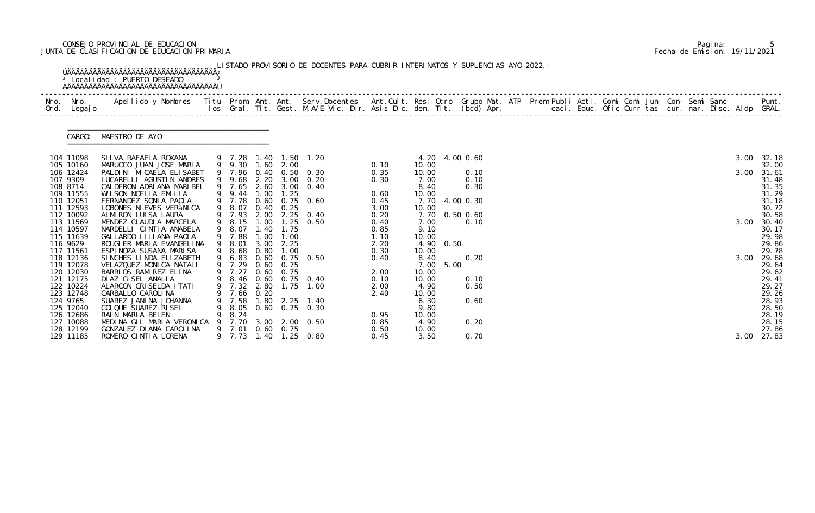## CONSEJO PROVINCIAL DE EDUCACION Pagina: 5 JUNTA DE CLASIFICACION DE EDUCACION PRIMARIA Fecha de Emision: 19/11/2021

|                        | CARGO: MAESTRO DE A¥O                                 |   |              |      |                   |                                                |              |                |           |                |  |  |  |  |  |      |                |
|------------------------|-------------------------------------------------------|---|--------------|------|-------------------|------------------------------------------------|--------------|----------------|-----------|----------------|--|--|--|--|--|------|----------------|
| 104 11098              | SILVA RAFAELA ROXANA                                  |   |              |      |                   | 9 7.28 1.40 1.50 1.20<br>9 9.30 1.60 2.00      |              |                |           | 4.20 4.00 0.60 |  |  |  |  |  | 3.00 | 32.18          |
| 105 10160<br>106 12424 | MARUCCO JUAN JOSE MARIA<br>PALDINI MI CAELA ELI SABET |   |              |      |                   | 9 7.96 0.40 0.50 0.30                          | 0.10<br>0.35 | 10.00<br>10.00 |           | 0.10           |  |  |  |  |  | 3.00 | 32.00<br>31.61 |
| 107 9309               | LUCARELLI AGUSTIN ANDRES                              |   |              |      |                   | 9 9.68 2.20 3.00 0.20                          | 0.30         | 7.00           |           | 0.10           |  |  |  |  |  |      | 31.48          |
| 108 8714               | CALDERON ADRIANA MARIBEL                              |   | 9 7.65       |      |                   | 2.60 3.00 0.40                                 |              | 8.40           |           | 0.30           |  |  |  |  |  |      | 31.35          |
| 109 11555              | WILSON NOELIA EMILIA                                  |   | 9 9.44 1.00  |      | 1.25              |                                                | 0.60         | 10.00          |           |                |  |  |  |  |  |      | 31.29          |
| 110 12051              | FERNANDEZ SONIA PAOLA                                 |   | 9 7.78       |      |                   | 0.60 0.75 0.60                                 | 0.45         |                |           | 7.70 4.00 0.30 |  |  |  |  |  |      | 31.18          |
| 111 12593              | LOBONES NI EVES VERANI CA                             |   | 9 8.07       |      | $0.40 \quad 0.25$ |                                                | 3.00         | 10.00          |           |                |  |  |  |  |  |      | 30.72          |
| 112 10092              | ALMIRON LUISA LAURA                                   |   |              |      |                   | 9 7.93 2.00 2.25 0.40<br>9 8.15 1.00 1.25 0.50 | 0.20         |                |           | 7.70 0.50 0.60 |  |  |  |  |  |      | 30.58          |
| 113 11569<br>114 10597 | MENDEZ CLAUDIA MARCELA<br>NARDELLI CINTIA ANABELA     |   | 9 8.07       |      | 1.40 1.75         |                                                | 0.40<br>0.85 | 7.00<br>9.10   |           | 0.10           |  |  |  |  |  | 3.00 | 30.40<br>30.17 |
| 115 11639              | GALLARDO LI LI ANA PAOLA                              |   | 9 7.88       | 1.00 | 1.00              |                                                | 1.10         | 10.00          |           |                |  |  |  |  |  |      | 29.98          |
| 116 9629               | ROUGIER MARIA EVANGELINA                              |   | 9 8.01       | 3.00 | 2.25              |                                                | 2.20         |                | 4.90 0.50 |                |  |  |  |  |  |      | 29.86          |
| 117 11561              | ESPINOZA SUSANA MARISA                                |   | 9 8.68       | 0.80 | 1.00              |                                                | 0.30         | 10.00          |           |                |  |  |  |  |  |      | 29.78          |
| 118 12136              | SINCHES LINDA ELIZABETH                               |   |              |      |                   | 9 6.83 0.60 0.75 0.50                          | 0.40         | 8.40           |           | 0.20           |  |  |  |  |  | 3.00 | 29.68          |
| 119 12078              | VELAZQUEZ MONICA NATALI                               |   | 9 7.29       |      | $0.60 \quad 0.75$ |                                                |              | 7.00           | 5.00      |                |  |  |  |  |  |      | 29.64          |
| 120 12030              | BARRIOS RAMIREZ ELINA                                 |   |              |      | 9 7.27 0.60 0.75  |                                                | 2.00         | 10.00          |           |                |  |  |  |  |  |      | 29.62          |
| 121 12175              | DIAZ GISEL ANALIA                                     |   |              |      |                   | 9 8.46 0.60 0.75 0.40                          | 0.10         | 10.00          |           | 0.10           |  |  |  |  |  |      | 29.41          |
| 122 10224              | ALARCON GRISELDA ITATI                                |   |              |      |                   | 9 7.32 2.80 1.75 1.00                          | 2.00         | 4.90           |           | 0.50           |  |  |  |  |  |      | 29.27          |
| 123 12748              | CARBALLO CAROLINA                                     |   | 7.66         | 0.20 |                   |                                                | 2.40         | 10.00          |           |                |  |  |  |  |  |      | 29.26          |
| 124 9765<br>125 12040  | SUAREZ JANINA JOHANNA<br>COLQUE SUAREZ RISEL          |   | 7.58<br>8.05 |      |                   | 1.80 2.25 1.40<br>$0.60$ $0.75$ $0.30$         |              | 6.30<br>9.80   |           | 0.60           |  |  |  |  |  |      | 28.93<br>28.50 |
| 126 12686              | RAIN MARIA BELEN                                      |   | 8.24         |      |                   |                                                | 0.95         | 10.00          |           |                |  |  |  |  |  |      | 28.19          |
| 127 10088              | MEDINA GIL MARIA VERONICA                             | 9 | 7.70         |      |                   | 3.00 2.00 0.50                                 | 0.85         | 4.90           |           | 0.20           |  |  |  |  |  |      | 28.15          |
| 128 12199              | GONZALEZ DI ANA CAROLINA                              |   | 9 7.01       |      | $0.60 \quad 0.75$ |                                                | 0.50         | 10.00          |           |                |  |  |  |  |  |      | 27.86          |
| 129 11185              | ROMERO CINTIA LORENA                                  |   | 9 7.73       |      |                   | 1.40 1.25 0.80                                 | 0.45         | 3.50           |           | 0.70           |  |  |  |  |  | 3.00 | 27.83          |

|  | Pagi na: |                              |
|--|----------|------------------------------|
|  |          | Fecha de Emision: 19/11/2021 |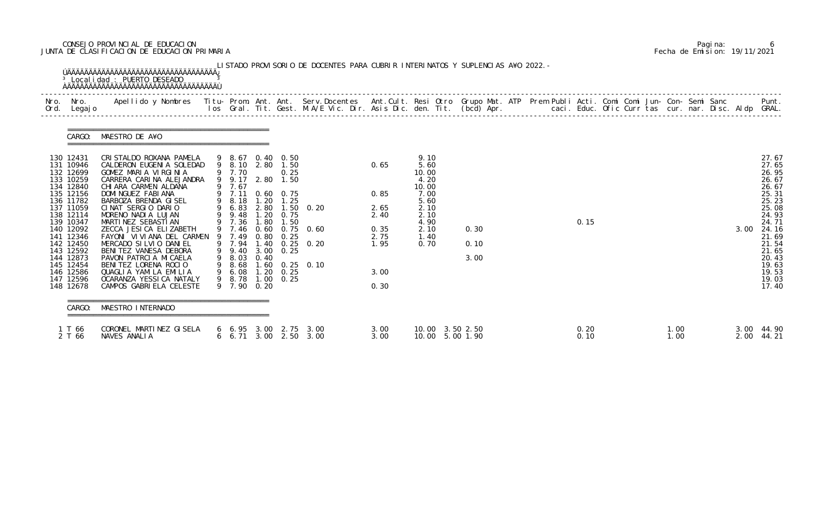## CONSEJO PROVINCIAL DE EDUCACION Pagina: 6 JUNTA DE CLASIFICACION DE EDUCACION PRIMARIA Fecha de Emision: 19/11/2021

| Nro. Nro.<br>Ord. Legajo                                                                                                                                                                                                                            | Apellido y Nombres - Titu- Prom. Ant. Ant. Serv.Docentes - Ant.Cult. Resi Otro Grupo Mat. ATP Prem Publi Acti. Comi Comi Jun- Con- Semi Sanc - - Punt.<br>Ios Gral. Tit. Gest. M.A/E Vic. Dir. Asis Dic. den. Tit. (bcd) Apr. - -                                                                                                                                                                                                                                                           |                                                                                                                                                              |                                                      |                                                                                                                                                          |                                                                                    |                                                                      |                                                                                                        |                      |  |              |              |  |      |                                                                                                                                                                         |
|-----------------------------------------------------------------------------------------------------------------------------------------------------------------------------------------------------------------------------------------------------|---------------------------------------------------------------------------------------------------------------------------------------------------------------------------------------------------------------------------------------------------------------------------------------------------------------------------------------------------------------------------------------------------------------------------------------------------------------------------------------------|--------------------------------------------------------------------------------------------------------------------------------------------------------------|------------------------------------------------------|----------------------------------------------------------------------------------------------------------------------------------------------------------|------------------------------------------------------------------------------------|----------------------------------------------------------------------|--------------------------------------------------------------------------------------------------------|----------------------|--|--------------|--------------|--|------|-------------------------------------------------------------------------------------------------------------------------------------------------------------------------|
|                                                                                                                                                                                                                                                     | CARGO: MAESTRO DE A¥O                                                                                                                                                                                                                                                                                                                                                                                                                                                                       |                                                                                                                                                              |                                                      |                                                                                                                                                          |                                                                                    |                                                                      |                                                                                                        |                      |  |              |              |  |      |                                                                                                                                                                         |
| 130 12431<br>131 10946<br>132 12699<br>133 10259<br>134 12840<br>135 12156<br>136 11782<br>137 11059<br>138 12114<br>139 10347<br>140 12092<br>141 12346<br>142 12450<br>143 12592<br>144 12873<br>145 12454<br>146 12586<br>147 12596<br>148 12678 | CRISTALDO ROXANA PAMELA<br>CALDERON EUGENIA SOLEDAD<br>GOMEZ MARIA VIRGINIA<br>CARRERA CARINA ALEJANDRA<br>CHI ARA CARMEN ALDANA<br>DOMI NGUEZ FABI ANA<br>BARBOZA BRENDA GISEL<br>CINAT SERGIO DARIO<br>MORENO NADIA LUJAN<br>MARTINEZ SEBASTIAN<br>ZECCA JESI CA ELIZABETH<br>FAYONI VIVIANA DEL CARMEN<br>MERCADO SILVIO DANIEL<br>BENITEZ VANESA DEBORA<br>PAVON PATRCIA MICAELA<br>BENITEZ LORENA ROCIO<br>QUAGLIA YAMILA EMILIA<br>OCARANZA YESSICA NATALY<br>CAMPOS GABRIELA CELESTE | 9 7.70<br>9 9.17 2.80<br>9 7.67<br>9 7.11<br>9 8.18<br>9 6.83<br>9 9.48<br>9 7.36<br>9 7.49<br>9 9.40<br>9 8.03<br>9 8.68<br>9 6.08<br>9 8.78<br>9 7.90 0.20 | 1.20<br>2.80<br>1.20<br>1.80<br>0.80<br>0.40<br>1.00 | 9 8.67 0.40 0.50<br>9 8.10 2.80 1.50<br>0.25<br>1.50<br>$0.60 \quad 0.75$<br>1.25<br>0.75<br>1.50<br>0.25<br>$3.00 \quad 0.25$<br>$1.20 \t 0.25$<br>0.25 | $1.50 \t 0.20$<br>9 7.46 0.60 0.75 0.60<br>9 7.94 1.40 0.25 0.20<br>1.60 0.25 0.10 | 0.65<br>0.85<br>2.65<br>2.40<br>0.35<br>2.75<br>1.95<br>3.00<br>0.30 | 9.10<br>5.60<br>10.00<br>4.20<br>10.00<br>7.00<br>5.60<br>2.10<br>2.10<br>4.90<br>2.10<br>1.40<br>0.70 | 0.30<br>0.10<br>3.00 |  | 0.15         |              |  | 3.00 | 27.67<br>27.65<br>26.95<br>26.67<br>26.67<br>25.31<br>25.23<br>25.08<br>24.93<br>24.71<br>24.16<br>21.69<br>21.54<br>21.65<br>20.43<br>19.63<br>19.53<br>19.03<br>17.40 |
| CARGO:                                                                                                                                                                                                                                              | MAESTRO INTERNADO                                                                                                                                                                                                                                                                                                                                                                                                                                                                           |                                                                                                                                                              |                                                      |                                                                                                                                                          |                                                                                    |                                                                      |                                                                                                        |                      |  |              |              |  |      |                                                                                                                                                                         |
| 1 T 66<br>2 T 66                                                                                                                                                                                                                                    | CORONEL MARTINEZ GISELA<br>NAVES ANALIA                                                                                                                                                                                                                                                                                                                                                                                                                                                     |                                                                                                                                                              |                                                      |                                                                                                                                                          | $6\quad 6.95\quad 3.00\quad 2.75\quad 3.00$<br>6 6.71 3.00 2.50 3.00               | 3.00<br>3.00                                                         | 10.00 3.50 2.50<br>10.00 5.00 1.90                                                                     |                      |  | 0.20<br>0.10 | 1.00<br>1.00 |  |      | 3.00 44.90<br>2.00 44.21                                                                                                                                                |

|  | Pagi na: |                              |
|--|----------|------------------------------|
|  |          | Fecha de Emision: 19/11/2021 |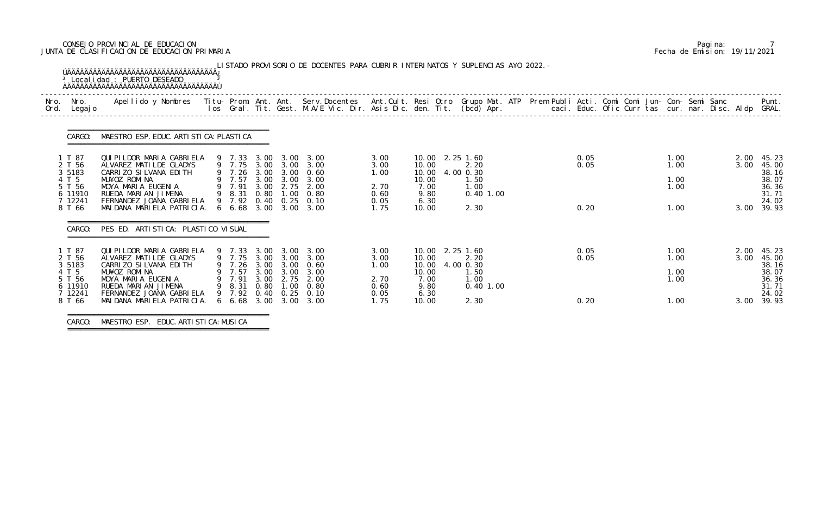## CONSEJO PROVINCIAL DE EDUCACION Pagina: 7 JUNTA DE CLASIFICACION DE EDUCACION PRIMARIA Fecha de Emision: 19/11/2021

| Nro. | Nro.<br>Ord. Legajo                                                              | Apellido y Nombres  Titu- Prom. Ant. Ant. Serv.Docentes  Ant.Cult. Resi Otro Grupo Mat. ATP Prem Publi Acti. Comi Comi Jun- Con- Semi Sanc             Punt.<br>Ios Gral. Tit. Gest. M.A/E Vic. Dir. Asis Dic. den. Tit. (bcd) Ap |                                                                                                       |                              |                                           |                                                                                      |                                                      |                                                                             |                                                          |  |                      |                                      |                      |                                                                           |
|------|----------------------------------------------------------------------------------|-----------------------------------------------------------------------------------------------------------------------------------------------------------------------------------------------------------------------------------|-------------------------------------------------------------------------------------------------------|------------------------------|-------------------------------------------|--------------------------------------------------------------------------------------|------------------------------------------------------|-----------------------------------------------------------------------------|----------------------------------------------------------|--|----------------------|--------------------------------------|----------------------|---------------------------------------------------------------------------|
|      | CARGO:                                                                           | MAESTRO ESP. EDUC. ARTI STI CA: PLASTI CA                                                                                                                                                                                         |                                                                                                       |                              |                                           |                                                                                      |                                                      |                                                                             |                                                          |  |                      |                                      |                      |                                                                           |
|      | 1 T 87<br>2 T 56<br>3 5 1 8 3<br>4 T 5<br>5 T 56<br>6 11910<br>7 12241<br>8 T 66 | QUI PI LDOR MARI A GABRI ELA<br>ALVAREZ MATILDE GLADYS<br>CARRIZO SILVANA EDITH<br>MU¥OZ ROMINA<br>MOYA MARIA EUGENIA<br>RUEDA MARIAN JIMENA<br>FERNANDEZ JOANA GABRIELA<br>MAI DANA MARI ELA PATRI CIA.                          | 9 7.33<br>9 7.75<br>9 7.26 3.00 3.00 0.60<br>9 7.57<br>9 7.91<br>9 8.31<br>6, 68, 3, 00, 3, 00, 3, 00 | 3.00<br>3.00<br>0.80         | 3.00 3.00<br>3.00 3.00<br>2.75            | 3.00 3.00<br>3.00<br>3.00<br>2.00<br>$1.00 \quad 0.80$<br>9 7.92 0.40 0.25 0.10      | 3.00<br>3.00<br>1.00<br>2.70<br>0.60<br>0.05<br>1.75 | 10.00 2.25 1.60<br>10.00<br>10.00<br>10.00<br>7.00<br>9.80<br>6.30<br>10.00 | 2.20<br>4.00 0.30<br>1.50<br>1.00<br>0.40 1.00<br>2.30   |  | 0.05<br>0.05<br>0.20 | 1.00<br>1.00<br>1.00<br>1.00<br>1.00 | 2.00<br>3.00         | 45.23<br>45.00<br>38.16<br>38.07<br>36.36<br>31.71<br>24.02<br>3.00 39.93 |
|      | CARGO:                                                                           | PES ED. ARTI STI CA: PLASTI CO VI SUAL                                                                                                                                                                                            |                                                                                                       |                              |                                           |                                                                                      |                                                      |                                                                             |                                                          |  |                      |                                      |                      |                                                                           |
|      | 1 T 87<br>2 T 56<br>3 5 1 8 3<br>4 T 5<br>5 T 56<br>6 11910<br>7 12241<br>8 T 66 | QUI PI LDOR MARI A GABRI ELA<br>ALVAREZ MATILDE GLADYS<br>CARRIZO SILVANA EDITH<br>MU¥OZ ROMINA<br>MOYA MARIA EUGENIA<br>RUEDA MARIAN JIMENA<br>FERNANDEZ JOANA GABRIELA<br>MAI DANA MARI ELA PATRI CIA.                          | 9 7.33<br>9 7.75 3.00 3.00 3.00<br>9 7.57<br>9 7.91<br>9 8.31<br>9 7.92<br>6, 6, 68                   | 3.00<br>3.00<br>0.80<br>3.00 | 2.75<br>1.00<br>$0.40 \quad 0.25$<br>3.00 | 3.00 3.00<br>9 7.26 3.00 3.00 0.60<br>3.00 3.00 3.00<br>2.00<br>0.80<br>0.10<br>3.00 | 3.00<br>3.00<br>1.00<br>2.70<br>0.60<br>0.05<br>1.75 | 10.00 2.25 1.60<br>10.00<br>10.00<br>10.00<br>7.00<br>9.80<br>6.30<br>10.00 | 2.20<br>4.00 0.30<br>1.50<br>1.00<br>$0.40$ 1.00<br>2.30 |  | 0.05<br>0.05<br>0.20 | 1.00<br>1.00<br>1.00<br>1.00<br>1.00 | 2.00<br>3.00<br>3.00 | 45.23<br>45.00<br>38.16<br>38.07<br>36.36<br>31.71<br>24.02<br>39.93      |

===============================================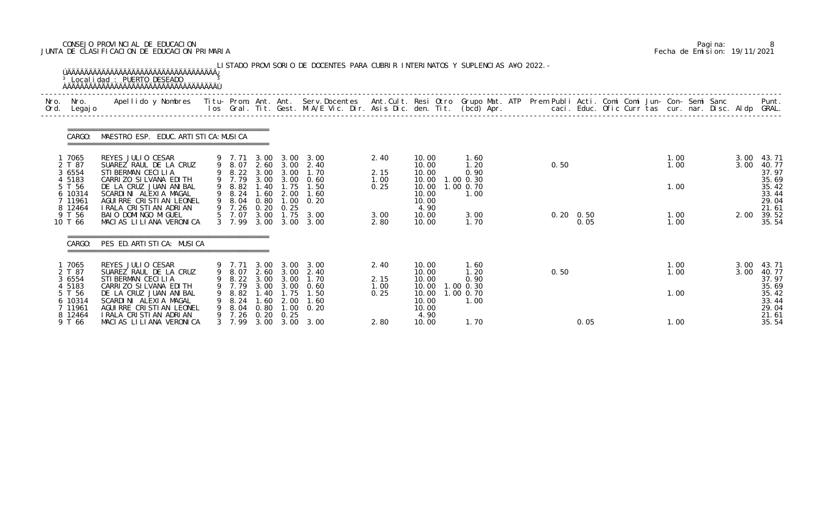## CONSEJO PROVINCIAL DE EDUCACION Pagina: 8 JUNTA DE CLASIFICACION DE EDUCACION PRIMARIA Fecha de Emision: 19/11/2021

|              |                                         | <sup>3</sup> Local i dad : PUERTO DESEADO<br>ÚÄÄÄÄÄÄÄÄÄÄÄÄÄÄÄÄÄÄÄÄÄÄÄÄÄÄÄÄÄÄÄÄÄÄÄÄ                                                       |              |                                           |                              |                                   | LISTADO PROVISORIO DE DOCENTES PARA CUBRIR INTERINATOS Y SUPLENCIAS A¥O 2022. -                                                 |              |                                          |                                |      |                           |              |              |                                           |
|--------------|-----------------------------------------|------------------------------------------------------------------------------------------------------------------------------------------|--------------|-------------------------------------------|------------------------------|-----------------------------------|---------------------------------------------------------------------------------------------------------------------------------|--------------|------------------------------------------|--------------------------------|------|---------------------------|--------------|--------------|-------------------------------------------|
| Nro.<br>Ord. | Nro.<br>Legaj o                         | Apellido y Nombres Titu- Prom. Ant. Ant. Serv.Docentes Ant.Cult. Resi Otro Grupo Mat. ATP Prem Publi Acti. Comi Comi Jun- Con- Semi Sanc |              |                                           |                              |                                   | los Gral. Tit. Gest. M.A/E Vic. Dir. Asis Dic. den. Tit. (bcd) Apr.        caci. Educ. Ofic Curr tas cur. nar. Disc. Aldp GRAL. |              |                                          |                                |      |                           |              |              | Punt.                                     |
|              | CARGO:                                  | MAESTRO ESP. EDUC. ARTI STI CA: MUSI CA                                                                                                  |              |                                           |                              |                                   |                                                                                                                                 |              |                                          |                                |      |                           |              |              |                                           |
|              | 1 7065<br>2 T 87<br>3 6554<br>4 5183    | REYES JULIO CESAR<br>SUAREZ RAUL DE LA CRUZ<br>STI BERMAN CECILIA                                                                        |              | 9 7.71<br>9 8.07<br>9 8.22 3.00<br>9 7.79 | 3.00<br>2.60                 | 3.00<br>3.00<br>3.00<br>3.00 3.00 | 3.00<br>2.40<br>1.70<br>0.60                                                                                                    | 2.40<br>2.15 | 10.00<br>10.00<br>10.00                  | 1.60<br>1.20<br>0.90           | 0.50 |                           | 1.00<br>1.00 | 3.00<br>3.00 | 43.71<br>40.77<br>37.97                   |
|              | 5 T 56<br>6 10314<br>7 11961<br>8 12464 | CARRIZO SILVANA EDITH<br>DE LA CRUZ JUAN ANIBAL<br>SCARDINI ALEXIA MAGAL<br>AGUI RRE CRISTI AN LEONEL<br>I RALA CRISTIAN ADRIAN          |              | 9 8.82<br>9 8.24<br>9 8.04<br>9 7.26      | 1.40<br>1.60<br>0.80<br>0.20 | 1.75<br>2.00<br>1.00<br>0.25      | 1.50<br>1.60<br>0.20                                                                                                            | 1.00<br>0.25 | 10.00<br>10.00<br>10.00<br>10.00<br>4.90 | 1.00 0.30<br>1.00 0.70<br>1.00 |      |                           | 1.00         |              | 35.69<br>35.42<br>33.44<br>29.04<br>21.61 |
|              | 9 T 56<br>10 T 66                       | BAIO DOMINGO MIGUEL<br>MACIAS LILIANA VERONICA                                                                                           |              | 5 7.07<br>3 7.99                          | 3.00<br>3.00                 |                                   | $1.75$ $3.00$<br>3.00 3.00                                                                                                      | 3.00<br>2.80 | 10.00<br>10.00                           | 3.00<br>1.70                   |      | $0.20 \quad 0.50$<br>0.05 | 1.00<br>1.00 | 2.00         | 39.52<br>35.54                            |
|              | CARGO:                                  | PES ED. ARTISTICA: MUSICA                                                                                                                |              |                                           |                              |                                   |                                                                                                                                 |              |                                          |                                |      |                           |              |              |                                           |
|              | 7065<br>2 T 87<br>3 6554                | REYES JULIO CESAR<br>SUAREZ RAUL DE LA CRUZ<br>STI BERMAN CECILIA                                                                        |              | 9 7.71<br>9 8.07<br>9 8.22 3.00<br>9 7.79 | 3.00                         | 3.00<br>3.00                      | 3.00<br>2.60 3.00 2.40<br>1.70                                                                                                  | 2.40<br>2.15 | 10.00<br>10.00<br>10.00                  | 1.60<br>1.20<br>0.90           | 0.50 |                           | 1.00<br>1.00 | 3.00<br>3.00 | 43.71<br>40.77<br>37.97                   |
|              | 4 5183<br>5 T 56<br>6 10314<br>7 11961  | CARRIZO SILVANA EDITH<br>DE LA CRUZ JUAN ANIBAL<br>SCARDINI ALEXIA MAGAL<br>AGUI RRE CRISTIAN LEONEL                                     | 9<br>9.<br>9 | 8.82<br>8. 24<br>8. 04                    | 1. 40<br>1.60<br>0.80        | 1.75<br>2.00<br>1.00              | 3.00 3.00 0.60<br>1.50<br>1.60<br>0.20                                                                                          | 1.00<br>0.25 | 10.00<br>10.00<br>10.00<br>10.00         | 1.00 0.30<br>1.00 0.70<br>1.00 |      |                           | 1.00         |              | 35.69<br>35.42<br>33.44<br>29.04          |
|              | 8 12464<br>9 T 66                       | I RALA CRISTIAN ADRIAN<br>MACIAS LILIANA VERONICA                                                                                        |              |                                           |                              | 9 7.26 0.20 0.25                  | 3 7.99 3.00 3.00 3.00                                                                                                           | 2.80         | 4.90<br>10.00                            | 1.70                           |      | 0.05                      | 1.00         |              | 21.61<br>35.54                            |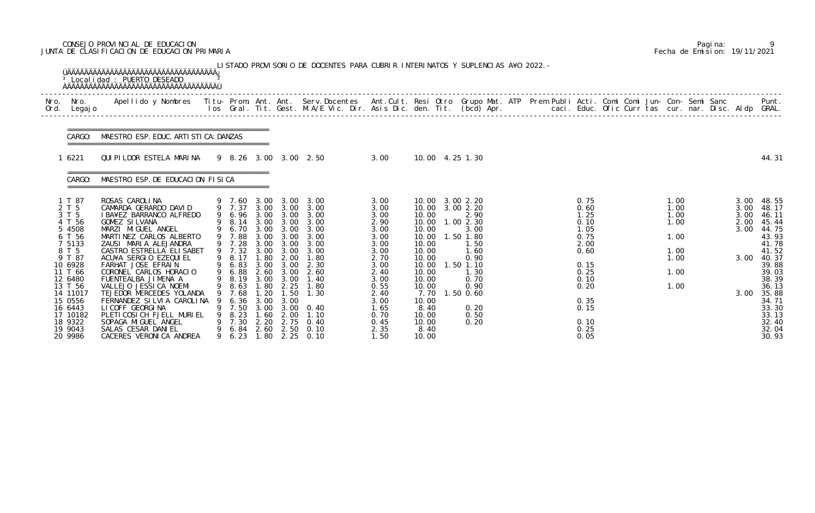## CONSEJO PROVINCIAL DE EDUCACION Pagina: 9 JUNTA DE CLASIFICACION DE EDUCACION PRIMARIA Fecha de Emision: 19/11/2021

|              |                                                                                                                                                                                                                | <sup>3</sup> Local i dad : PUERTO DESEADO                                                                                                                                                                                                                                                                                                                                                                                                                                                                        |                                                                                                                                                                                                |                                                                                                                                                        |                                                                                                                              | LISTADO PROVISORIO DE DOCENTES PARA CUBRIR INTERINATOS Y SUPLENCIAS A¥O 2022. -                                                                                                               |                                                                                                                                                              |                                                                                                                                                     |                                                                                                                                                                                        |                                                      |                                                                                                                                      |  |                                                                      |                                                      |                                                                                                                                                                                    |
|--------------|----------------------------------------------------------------------------------------------------------------------------------------------------------------------------------------------------------------|------------------------------------------------------------------------------------------------------------------------------------------------------------------------------------------------------------------------------------------------------------------------------------------------------------------------------------------------------------------------------------------------------------------------------------------------------------------------------------------------------------------|------------------------------------------------------------------------------------------------------------------------------------------------------------------------------------------------|--------------------------------------------------------------------------------------------------------------------------------------------------------|------------------------------------------------------------------------------------------------------------------------------|-----------------------------------------------------------------------------------------------------------------------------------------------------------------------------------------------|--------------------------------------------------------------------------------------------------------------------------------------------------------------|-----------------------------------------------------------------------------------------------------------------------------------------------------|----------------------------------------------------------------------------------------------------------------------------------------------------------------------------------------|------------------------------------------------------|--------------------------------------------------------------------------------------------------------------------------------------|--|----------------------------------------------------------------------|------------------------------------------------------|------------------------------------------------------------------------------------------------------------------------------------------------------------------------------------|
| Nro.<br>Ord. | Nro.<br>Legaj o                                                                                                                                                                                                | Apellido y Nombres Titu- Prom. Ant. Ant. Serv.Docentes Ant.Cult. Resi Otro Grupo Mat. ATP Prem Publi Acti. Comi Comi Jun- Con- Semi Sanc                                                                                                                                                                                                                                                                                                                                                                         |                                                                                                                                                                                                |                                                                                                                                                        |                                                                                                                              | los Gral. Tit. Gest. M.A/E Vic. Dir. Asis Dic. den. Tit. (bcd) Apr.                                                                                                                           |                                                                                                                                                              |                                                                                                                                                     |                                                                                                                                                                                        | caci. Educ. Ofic Curr tas cur. nar. Disc. Aldp GRAL. |                                                                                                                                      |  |                                                                      |                                                      | Punt.                                                                                                                                                                              |
|              | CARGO:                                                                                                                                                                                                         | MAESTRO ESP. EDUC. ARTI STI CA: DANZAS                                                                                                                                                                                                                                                                                                                                                                                                                                                                           |                                                                                                                                                                                                |                                                                                                                                                        |                                                                                                                              |                                                                                                                                                                                               |                                                                                                                                                              |                                                                                                                                                     |                                                                                                                                                                                        |                                                      |                                                                                                                                      |  |                                                                      |                                                      |                                                                                                                                                                                    |
|              | 6221                                                                                                                                                                                                           | QUIPILDOR ESTELA MARINA                                                                                                                                                                                                                                                                                                                                                                                                                                                                                          |                                                                                                                                                                                                |                                                                                                                                                        |                                                                                                                              | 9 8.26 3.00 3.00 2.50                                                                                                                                                                         | 3.00                                                                                                                                                         |                                                                                                                                                     | 10.00 4.25 1.30                                                                                                                                                                        |                                                      |                                                                                                                                      |  |                                                                      |                                                      | 44.31                                                                                                                                                                              |
|              | CARGO:                                                                                                                                                                                                         | MAESTRO ESP. DE EDUCACION FISICA                                                                                                                                                                                                                                                                                                                                                                                                                                                                                 |                                                                                                                                                                                                |                                                                                                                                                        |                                                                                                                              |                                                                                                                                                                                               |                                                                                                                                                              |                                                                                                                                                     |                                                                                                                                                                                        |                                                      |                                                                                                                                      |  |                                                                      |                                                      |                                                                                                                                                                                    |
|              | 1 T 87<br>2 T 5<br>3 T 5<br>4 T 56<br>5 4508<br>6 T 56<br>7 5133<br>8 T 5<br>9 T 87<br>10 6928<br>11 T 66<br>12 6480<br>13 T 56<br>14 11017<br>15 0556<br>16 6443<br>17 10182<br>18 9322<br>19 9043<br>20 9986 | ROSAS CAROLINA<br>CAMARDA GERARDO DAVID<br>I BA¥EZ BARRANCO ALFREDO<br><b>GOMEZ SILVANA</b><br>MARZI MIGUEL ANGEL<br>MARTINEZ CARLOS ALBERTO<br>ZAUSI MARIA ALEJANDRA<br>CASTRO ESTRELLA ELISABET<br>ACU¥A SERGIO EZEQUIEL<br>FARHAT JOSE EFRAIN<br>CORONEL CARLOS HORACIO<br>FUENTEALBA JIMENA A<br>VALLEJO JESSI CA NOEMI<br>TEJEDOR MERCEDES YOLANDA<br>FERNANDEZ SILVIA CAROLINA<br>LI COFF GEORGI NA<br>PLETI COSI CH FJELL MURI EL<br>SOPAGA MIGUEL ANGEL<br>SALAS CESAR DANIEL<br>CACERES VERONICA ANDREA | 9 7.60<br>9 7.37<br>9 6.96<br>8.14<br>9 6.70<br>9 7.88<br>9 7.28<br>9 7.32<br>9 8.17<br>9 6.83<br>9 6.88<br>9 8.19<br>9 8.63<br>9 7.68<br>6.36<br>9 7.50<br>8.23<br>9 7.30<br>9 6.84<br>9 6.23 | 3.00<br>3.00<br>3.00<br>3.00<br>3.00<br>3.00<br>3.00<br>3.00<br>1.80<br>3.00<br>2.60<br>3.00<br>1.80<br>1. 20<br>3.00<br>3.00<br>1.60<br>2.20<br>1. 80 | 3.00<br>3.00<br>3.00<br>3.00<br>3.00<br>3.00<br>3.00<br>2.00<br>3.00<br>3.00<br>3.00<br>2.25<br>1.50<br>3.00<br>2.00<br>2.75 | 3.00<br>3.00<br>3.00 3.00<br>3.00<br>3.00<br>3.00<br>3.00<br>3.00<br>1.80<br>2.30<br>2.60<br>1.40<br>1.80<br>1.30<br>$3.00 \quad 0.40$<br>1.10<br>0.40<br>2.60 2.50 0.10<br>$2.25 \quad 0.10$ | 3.00<br>3.00<br>3.00<br>2.90<br>3.00<br>3.00<br>3.00<br>3.00<br>2.70<br>3.00<br>2.40<br>3.00<br>0.55<br>2.40<br>3.00<br>1.65<br>0.70<br>0.45<br>2.35<br>1.50 | 10.00<br>10.00<br>10.00<br>10.00<br>10.00<br>10.00<br>10.00<br>10.00<br>10.00<br>10.00<br>10.00<br>10.00<br>8.40<br>10.00<br>10.00<br>8.40<br>10.00 | 10.00 3.00 2.20<br>10.00 3.00 2.20<br>2.90<br>1.002.30<br>3.00<br>1.50 1.80<br>1.50<br>1.60<br>0.90<br>$1.50$ $1.10$<br>1.30<br>0.70<br>0.90<br>7.70 1.50 0.60<br>0.20<br>0.50<br>0.20 |                                                      | 0.75<br>0.60<br>1.25<br>0.10<br>1.05<br>0.75<br>2.00<br>0.60<br>0.15<br>0.25<br>0.10<br>0.20<br>0.35<br>0.15<br>0.10<br>0.25<br>0.05 |  | 1.00<br>1.00<br>1.00<br>1.00<br>1.00<br>1.00<br>1.00<br>1.00<br>1.00 | 3.00<br>3.00<br>3.00<br>2.00<br>3.00<br>3.00<br>3.00 | 48. 55<br>48.17<br>46. 11<br>45.44<br>44.75<br>43.93<br>41.78<br>41.52<br>40.37<br>39.88<br>39.03<br>38.39<br>36.13<br>35.88<br>34.71<br>33.30<br>33.13<br>32.40<br>32.04<br>30.93 |

|  | Pagi na: |                              |
|--|----------|------------------------------|
|  |          | Fecha de Emision: 19/11/2021 |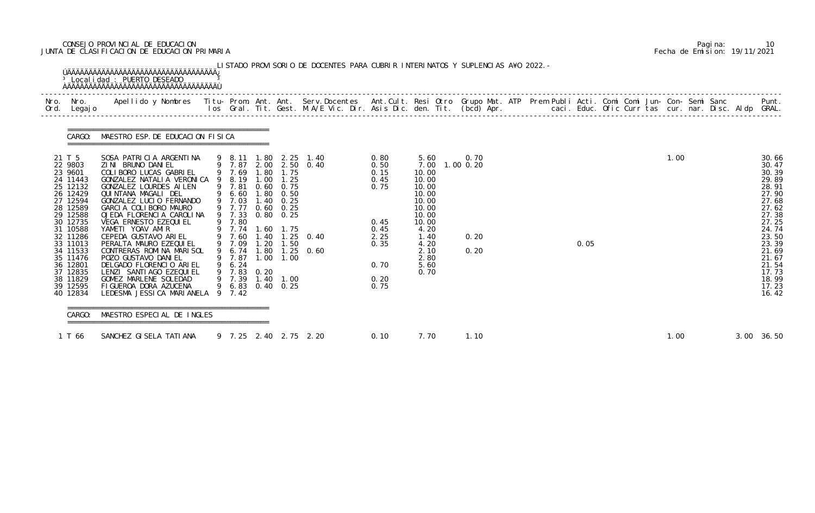## CONSEJO PROVINCIAL DE EDUCACION Pagina: 10 JUNTA DE CLASIFICACION DE EDUCACION PRIMARIA Fecha de Emision: 19/11/2021

| Nro. Nro.<br>Ord. Legajo                                                                                                                                                                                                                 | Apellido y Nombres - Titu- Prom. Ant. Ant. Serv.Docentes - Ant.Cult. Resi Otro Grupo Mat. ATP Prem Publi Acti. Comi Comi Jun- Con- Semi Sanc - - - Punt.<br>Ios Gral. Tit. Gest. M.A/E Vic. Dir. Asis Dic. den. Tit. (bcd) Apr. -                                                                                                                                                                                                                                                                                                            |                                                                                                                                                                                       |                                              |                                                                              |                                                                                                                  |                                                                                              |                                                                                                                                      |                                        |  |      |  |      |            |                                                                                                                                                                                  |
|------------------------------------------------------------------------------------------------------------------------------------------------------------------------------------------------------------------------------------------|----------------------------------------------------------------------------------------------------------------------------------------------------------------------------------------------------------------------------------------------------------------------------------------------------------------------------------------------------------------------------------------------------------------------------------------------------------------------------------------------------------------------------------------------|---------------------------------------------------------------------------------------------------------------------------------------------------------------------------------------|----------------------------------------------|------------------------------------------------------------------------------|------------------------------------------------------------------------------------------------------------------|----------------------------------------------------------------------------------------------|--------------------------------------------------------------------------------------------------------------------------------------|----------------------------------------|--|------|--|------|------------|----------------------------------------------------------------------------------------------------------------------------------------------------------------------------------|
|                                                                                                                                                                                                                                          | CARGO: MAESTRO ESP. DE EDUCACION FISICA                                                                                                                                                                                                                                                                                                                                                                                                                                                                                                      |                                                                                                                                                                                       |                                              |                                                                              |                                                                                                                  |                                                                                              |                                                                                                                                      |                                        |  |      |  |      |            |                                                                                                                                                                                  |
| 21 T 5<br>22 9803<br>23 9601<br>24 11443<br>25 12132<br>26 12429<br>27 12594<br>28 12589<br>29 12588<br>30 12735<br>31 10588<br>32 11286<br>33 11013<br>34 11533<br>35 11476<br>36 12801<br>37 12835<br>38 11829<br>39 12595<br>40 12834 | SOSA PATRICIA ARGENTINA<br>ZINI BRUNO DANIEL<br>COLIBORO LUCAS GABRIEL<br>GONZALEZ NATALIA VERONICA 9 8.19<br>GONZALEZ LOURDES AILEN<br>QUINTANA MAGALI DEL<br>GONZALEZ LUCIO FERNANDO<br>GARCIA COLIBORO MAURO<br>OJEDA FLORENCIA CAROLINA<br>VEGA ERNESTO EZEQUI EL<br>YAMETI YOAV AMIR<br>CEPEDA GUSTAVO ARIEL<br>PERALTA MAURO EZEQUI EL<br>CONTRERAS ROMINA MARISOL<br>POZO GUSTAVO DANI EL<br>DELGADO FLORENCIO ARIEL<br>LENZI SANTIAGO EZEQUIEL<br>GOMEZ MARLENE SOLEDAD<br>FIGUEROA DORA AZUCENA<br>LEDESMA JESSICA MARIANELA 9 7.42 | 9 7.81<br>9 6.60<br>9 7.03<br>9 7.77<br>9 7.33 0.80 0.25<br>9 7.80<br>9 7.74 1.60 1.75<br>9 7.60 1.40 1.25<br>9 7.09<br>9 7.87<br>9 6.24<br>9 7.83 0.20<br>9 7.39<br>9 6.83 0.40 0.25 | 1.00<br>1.80<br>1.40<br>1.20<br>1.00<br>1.40 | 1.25<br>$0.60$ 0.75<br>0.50<br>0.25<br>$0.60$ $0.25$<br>1.50<br>1.00<br>1.00 | 9 8.11 1.80 2.25 1.40<br>9 7.87 2.00 2.50 0.40<br>9 7.69 1.80 1.75<br>$1.25 \quad 0.40$<br>9 6.74 1.80 1.25 0.60 | 0.80<br>0.50<br>0.15<br>0.45<br>0.75<br>0.45<br>0.45<br>2.25<br>0.35<br>0.70<br>0.20<br>0.75 | 5.60<br>10.00<br>10.00<br>10.00<br>10.00<br>10.00<br>10.00<br>10.00<br>10.00<br>4.20<br>1.40<br>4.20<br>2.10<br>2.80<br>5.60<br>0.70 | 0.70<br>7.00 1.00 0.20<br>0.20<br>0.20 |  | 0.05 |  | 1.00 |            | 30.66<br>30.47<br>30.39<br>29.89<br>28.91<br>27.90<br>27.68<br>27.62<br>27.38<br>27.25<br>24.74<br>23.50<br>23.39<br>21.69<br>21.67<br>21.54<br>17.73<br>18.99<br>17.23<br>16.42 |
| CARGO:                                                                                                                                                                                                                                   | MAESTRO ESPECIAL DE INGLES<br>======================================                                                                                                                                                                                                                                                                                                                                                                                                                                                                         |                                                                                                                                                                                       |                                              |                                                                              |                                                                                                                  |                                                                                              |                                                                                                                                      |                                        |  |      |  |      |            |                                                                                                                                                                                  |
| 1 T 66                                                                                                                                                                                                                                   | SANCHEZ GI SELA TATI ANA                                                                                                                                                                                                                                                                                                                                                                                                                                                                                                                     |                                                                                                                                                                                       |                                              |                                                                              | 9 7.25 2.40 2.75 2.20                                                                                            | 0.10                                                                                         | 7.70                                                                                                                                 | 1.10                                   |  |      |  | 1.00 | 3.00 36.50 |                                                                                                                                                                                  |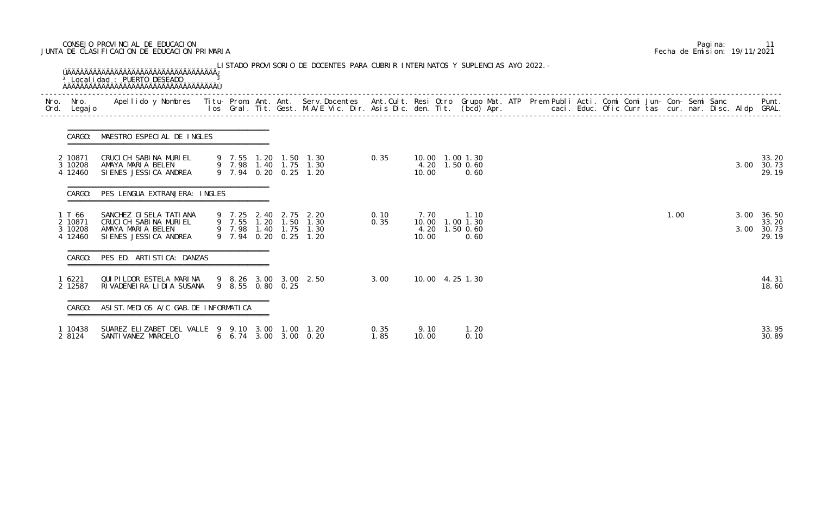## CONSEJO PROVINCIAL DE EDUCACION Pagina: 11 JUNTA DE CLASIFICACION DE EDUCACION PRIMARIA Fecha de Emision: 19/11/2021

| Nro.<br>Ord. | Nro.<br>Legaj o                         | Apellido y Nombres - Titu- Prom. Ant. Ant. Serv.Docentes - Ant.Cult. Resi Otro Grupo Mat. ATP Prem Publi Acti. Comi Comi Jun- Con- Semi Sanc - - - - Punt.<br>Ios Gral. Tit. Gest. M.A/E Vic. Dir. Asis Dic. den. Tit. (bcd) Apr. |                  |      |                                                                                                  |              |               |                                                   |  |  |  |  |      |  |              |                                  |
|--------------|-----------------------------------------|-----------------------------------------------------------------------------------------------------------------------------------------------------------------------------------------------------------------------------------|------------------|------|--------------------------------------------------------------------------------------------------|--------------|---------------|---------------------------------------------------|--|--|--|--|------|--|--------------|----------------------------------|
|              | CARGO:                                  | MAESTRO ESPECIAL DE INGLES                                                                                                                                                                                                        |                  |      |                                                                                                  |              |               |                                                   |  |  |  |  |      |  |              |                                  |
|              | 2 10871<br>3 10208<br>4 12460           | CRUCICH SABINA MURIEL<br>AMAYA MARIA BELEN<br>SIENES JESSICA ANDREA                                                                                                                                                               |                  |      | 9 7.55 1.20 1.50 1.30<br>9 7.98 1.40 1.75 1.30<br>9 7.94 0.20 0.25 1.20                          | 0.35         | 10.00         | 10.00 1.00 1.30<br>4.20 1.50 0.60<br>0.60         |  |  |  |  |      |  | 3.00         | 33.20<br>30.73<br>29.19          |
|              | CARGO:                                  | PES LENGUA EXTRANJERA: INGLES                                                                                                                                                                                                     |                  |      |                                                                                                  |              |               |                                                   |  |  |  |  |      |  |              |                                  |
|              | 1 T 66<br>2 10871<br>3 10208<br>4 12460 | SANCHEZ GI SELA TATI ANA<br>CRUCICH SABINA MURIEL<br>AMAYA MARIA BELEN<br>SIENES JESSICA ANDREA                                                                                                                                   |                  |      | 9 7.25 2.40 2.75 2.20<br>9 7.55 1.20 1.50 1.30<br>9 7.98 1.40 1.75 1.30<br>9 7.94 0.20 0.25 1.20 | 0.10<br>0.35 | 7.70<br>10.00 | 1.10<br>10.00 1.00 1.30<br>4.20 1.50 0.60<br>0.60 |  |  |  |  | 1.00 |  | 3.00<br>3.00 | 36.50<br>33.20<br>30.73<br>29.19 |
|              | CARGO:                                  | PES ED. ARTISTICA: DANZAS                                                                                                                                                                                                         |                  |      |                                                                                                  |              |               |                                                   |  |  |  |  |      |  |              |                                  |
|              | 1 6221<br>2 12587                       | QUIPILDOR ESTELA MARINA<br>RIVADENEIRA LIDIA SUSANA                                                                                                                                                                               | 9 8.55 0.80 0.25 |      | 9 8.26 3.00 3.00 2.50                                                                            | 3.00         |               | 10.00 4.25 1.30                                   |  |  |  |  |      |  |              | 44.31<br>18.60                   |
|              | CARGO:                                  | ASI ST. MEDIOS A/C GAB. DE INFORMATICA                                                                                                                                                                                            |                  |      |                                                                                                  |              |               |                                                   |  |  |  |  |      |  |              |                                  |
|              | 1 10438<br>2 8124                       | SUAREZ ELIZABET DEL VALLE 9 9.10 3.00<br>SANTI VANEZ MARCELO                                                                                                                                                                      |                  | 1.00 | 1. 20<br>$6\quad 6.74\quad 3.00\quad 3.00\quad 0.20$                                             | 0.35<br>1.85 | 9.10<br>10.00 | 1.20<br>0.10                                      |  |  |  |  |      |  |              | 33.95<br>30.89                   |

|  | Pagi na: |                              |
|--|----------|------------------------------|
|  |          | Fecha de Emision: 19/11/2021 |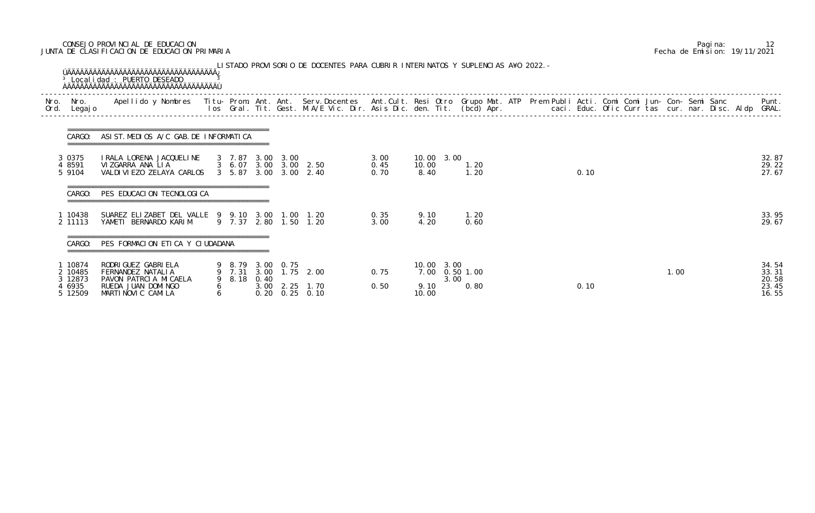## CONSEJO PROVINCIAL DE EDUCACION Pagina: 12 JUNTA DE CLASIFICACION DE EDUCACION PRIMARIA Fecha de Emision: 19/11/2021

|              |                                                    | <sup>3</sup> Local i dad : PUERTO DESEADO                                                                                                                                                                                         |        |             |                  | LISTADO PROVISORIO DE DOCENTES PARA CUBRIR INTERINATOS Y SUPLENCIAS A¥O 2022. - |                      |                             |      |                        |  |      |  |      |  |                                           |
|--------------|----------------------------------------------------|-----------------------------------------------------------------------------------------------------------------------------------------------------------------------------------------------------------------------------------|--------|-------------|------------------|---------------------------------------------------------------------------------|----------------------|-----------------------------|------|------------------------|--|------|--|------|--|-------------------------------------------|
| Nro.<br>Ord. | Nro.<br>Legaj o                                    | Apellido y Nombres - Titu- Prom. Ant. Ant. Serv.Docentes - Ant.Cult. Resi Otro Grupo Mat. ATP Prem Publi Acti. Comi Comi Jun- Con- Semi Sanc - - - Punt.<br>Ios Gral. Tit. Gest. M.A/E Vic. Dir. Asis Dic. den. Tit. (bcd) Apr. - |        |             |                  |                                                                                 |                      |                             |      |                        |  |      |  |      |  |                                           |
|              | CARGO:                                             | ASIST. MEDIOS A/C GAB. DE INFORMATICA                                                                                                                                                                                             |        |             |                  |                                                                                 |                      |                             |      |                        |  |      |  |      |  |                                           |
|              | 3 0375<br>4 8591<br>5 9104                         | I RALA LORENA JACQUELINE<br>VIZGARRA ANA LIA<br>VALDI VI EZO ZELAYA CARLOS                                                                                                                                                        |        | 3 7.87      | 3.00 3.00        | 3 6.07 3.00 3.00 2.50<br>3 5.87 3.00 3.00 2.40                                  | 3.00<br>0.45<br>0.70 | 10.00 3.00<br>10.00<br>8.40 |      | 1.20<br>1.20           |  | 0.10 |  |      |  | 32.87<br>29.22<br>27.67                   |
|              | CARGO:                                             | PES EDUCACION TECNOLOGICA                                                                                                                                                                                                         |        |             |                  |                                                                                 |                      |                             |      |                        |  |      |  |      |  |                                           |
|              | 1 10438<br>2 11113                                 | SUAREZ ELIZABET DEL VALLE 9 9.10 3.00<br>YAMETI BERNARDO KARIM                                                                                                                                                                    |        |             | 1.00             | 1. 20<br>9 7.37 2.80 1.50 1.20                                                  | 0.35<br>3.00         | 9.10<br>4.20                |      | 1.20<br>0.60           |  |      |  |      |  | 33.95<br>29.67                            |
|              | CARGO:                                             | PES FORMACION ETICA Y CIUDADANA                                                                                                                                                                                                   |        |             |                  |                                                                                 |                      |                             |      |                        |  |      |  |      |  |                                           |
|              | 1 10874<br>2 10485<br>3 12873<br>4 6935<br>5 12509 | RODRI GUEZ GABRI ELA<br>FERNANDEZ NATALIA<br>PAVON PATRCIA MICAELA<br>RUEDA JUAN DOMINGO<br>MARTINOVIC CAMILA                                                                                                                     | 6<br>6 | 9 8.18 0.40 | 9 8.79 3.00 0.75 | 9 7.31 3.00 1.75 2.00<br>3.00 2.25 1.70<br>$0.20 \quad 0.25 \quad 0.10$         | 0.75<br>0.50         | 10.00 3.00<br>9.10<br>10.00 | 3.00 | 7.00 0.50 1.00<br>0.80 |  | 0.10 |  | 1.00 |  | 34.54<br>33.31<br>20.58<br>23.45<br>16.55 |

|  | Pagi na: |                              |
|--|----------|------------------------------|
|  |          | Fecha de Emision: 19/11/2021 |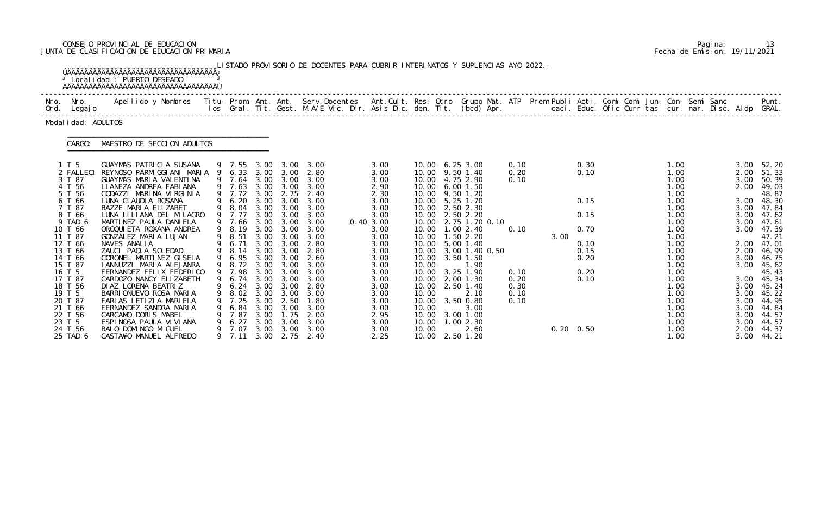# CONSEJO PROVINCIAL DE EDUCACION Pagina: 13 JUNTA DE CLASIFICACION DE EDUCACION PRIMARIA Fecha de Emision: 19/11/2021

|      |                                                                                                                                                                                                                                                            | <sup>3</sup> Local i dad : PUERTO DESEADO<br><u>ŇÄÄÄÄÄÄÄÄÄÄÄÄÄÄÄÄÄÄÄÄÄÄÄÄÄÄÄÄÄÄÄÄÄÄ</u>                                                                                                                                                                                                                                                                                                                                                                                                                                                                                                                     |                                                                                                                                                                                                                                 |                                                                                                                      |                                                                                                                                                                                                | LISTADO PROVISORIO DE DOCENTES PARA CUBRIR INTERINATOS Y SUPLENCIAS A¥O 2022. -                                                                                                                                     |                                                                                                                                                                                           |                                                             |                                                                                                                                                                                                                                                                                                                                                                                                         |                                                                      |      |                                                                              |  |                                                                                                                                                                                      |  |                                                                                                              |                                                                                                                                                                                                                                           |
|------|------------------------------------------------------------------------------------------------------------------------------------------------------------------------------------------------------------------------------------------------------------|-------------------------------------------------------------------------------------------------------------------------------------------------------------------------------------------------------------------------------------------------------------------------------------------------------------------------------------------------------------------------------------------------------------------------------------------------------------------------------------------------------------------------------------------------------------------------------------------------------------|---------------------------------------------------------------------------------------------------------------------------------------------------------------------------------------------------------------------------------|----------------------------------------------------------------------------------------------------------------------|------------------------------------------------------------------------------------------------------------------------------------------------------------------------------------------------|---------------------------------------------------------------------------------------------------------------------------------------------------------------------------------------------------------------------|-------------------------------------------------------------------------------------------------------------------------------------------------------------------------------------------|-------------------------------------------------------------|---------------------------------------------------------------------------------------------------------------------------------------------------------------------------------------------------------------------------------------------------------------------------------------------------------------------------------------------------------------------------------------------------------|----------------------------------------------------------------------|------|------------------------------------------------------------------------------|--|--------------------------------------------------------------------------------------------------------------------------------------------------------------------------------------|--|--------------------------------------------------------------------------------------------------------------|-------------------------------------------------------------------------------------------------------------------------------------------------------------------------------------------------------------------------------------------|
| Ord. | Nro. Nro.<br>Legaj o                                                                                                                                                                                                                                       | Apellido y Nombres  Titu- Prom. Ant. Ant. Serv.Docentes  Ant.Cult. Resi Otro Grupo Mat. ATP Prem Publi Acti. Comi Comi Jun- Con- Semi Sanc         Punt.<br>Ios Gral. Tit. Gest. M.A/E Vic. Dir. Asis Dic. den. Tit. (bcd) Apr.                                                                                                                                                                                                                                                                                                                                                                             |                                                                                                                                                                                                                                 |                                                                                                                      |                                                                                                                                                                                                |                                                                                                                                                                                                                     |                                                                                                                                                                                           |                                                             |                                                                                                                                                                                                                                                                                                                                                                                                         |                                                                      |      |                                                                              |  |                                                                                                                                                                                      |  |                                                                                                              |                                                                                                                                                                                                                                           |
|      | Modal i dad: ADULTOS                                                                                                                                                                                                                                       |                                                                                                                                                                                                                                                                                                                                                                                                                                                                                                                                                                                                             |                                                                                                                                                                                                                                 |                                                                                                                      |                                                                                                                                                                                                |                                                                                                                                                                                                                     |                                                                                                                                                                                           |                                                             |                                                                                                                                                                                                                                                                                                                                                                                                         |                                                                      |      |                                                                              |  |                                                                                                                                                                                      |  |                                                                                                              |                                                                                                                                                                                                                                           |
|      | CARGO:                                                                                                                                                                                                                                                     | MAESTRO DE SECCION ADULTOS                                                                                                                                                                                                                                                                                                                                                                                                                                                                                                                                                                                  |                                                                                                                                                                                                                                 |                                                                                                                      |                                                                                                                                                                                                |                                                                                                                                                                                                                     |                                                                                                                                                                                           |                                                             |                                                                                                                                                                                                                                                                                                                                                                                                         |                                                                      |      |                                                                              |  |                                                                                                                                                                                      |  |                                                                                                              |                                                                                                                                                                                                                                           |
|      | 1T <sub>5</sub><br>2 FALLECI<br>3 T 87<br>4 T 56<br>5 T 56<br>6 T 66<br>7 T 87<br>8 T 66<br>9 TAD 6<br>10 T 66<br>11 T 87<br>12 T 66<br>13 T 66<br>14 T 66<br>15 T 87<br>16 T 5<br>17 T 87<br>18 T 56<br>19 T 5<br>20 T 87<br>21 T 66<br>22 T 56<br>23 T 5 | GUAYMAS PATRICIA SUSANA<br>REYNOSO PARMIGGIANI MARIA<br>GUAYMAS MARIA VALENTINA<br>LLANEZA ANDREA FABIANA<br>CODAZZI MARINA VIRGINIA<br>LUNA CLAUDIA ROSANA<br>BAZZE MARIA ELIZABET<br>LUNA LILIANA DEL MILAGRO<br>MARTINEZ PAULA DANIELA<br>OROQUI ETA ROXANA ANDREA<br>GONZALEZ MARIA LUJAN<br>NAVES ANALIA<br>ZAUCI PAOLA SOLEDAD<br>CORONEL MARTINEZ GISELA<br>I ANNUZZI MARIA ALEJANRA<br>FERNANDEZ FELIX FEDERICO<br>CARDOZO NANCY ELIZABETH<br>DI AZ LORENA BEATRIZ<br>BARRIONUEVO ROSA MARIA<br>FARIAS LETIZIA MARIELA<br>FERNANDEZ SANDRA MARIA<br>CARCAMO DORIS MABEL<br>ESPINOSA PAULA VI VI ANA | 9 7.55<br>9 7.64<br>9 7.63<br>9 7.72<br>6.20<br>9 8.04<br>9 7.77<br>9 7.66<br>9 8.19<br>9 8.51<br>9 6.71<br>8.14<br>9 6.95<br>9 8.72<br>9 7.98<br>9 6.74 3.00 3.00<br>9 6.24 3.00 3.00<br>8.02<br>7. 25<br>6.84<br>7.87<br>6.27 | 3.00<br>3.00<br>3.00<br>3.00<br>3.00<br>3.00<br>3.00<br>3.00<br>3.00<br>3.00<br>3.00<br>3.00<br>3.00<br>3.00<br>3.00 | $3.00 \quad 3.00$<br>3.00<br>2.75<br>$3.00 \quad 3.00$<br>3.00<br>3.00<br>3.00 3.00<br>3.00<br>3.00<br>3.00 3.00<br>3.00<br>3.00<br>3.00 3.00<br>3.00<br>3.00<br>2.50<br>3.00<br>1. 75<br>3.00 | $3.00 \quad 3.00$<br>9 6.33 3.00 3.00 2.80<br>3.00<br>3.00<br>2.40<br>3.00<br>3.00<br>3.00<br>3.00<br>3.00<br>3.00<br>2.80<br>2.80<br>2.60<br>3.00<br>3.00<br>3.00<br>2.80<br>3.00<br>1. 80<br>3.00<br>2.00<br>3.00 | 3.00<br>3.00<br>3.00<br>2.90<br>2.30<br>3.00<br>3.00<br>3.00<br>0.40 3.00<br>3.00<br>3.00<br>3.00<br>3.00<br>3.00<br>3.00<br>3.00<br>3.00<br>3.00<br>3.00<br>3.00<br>3.00<br>2.95<br>3.00 | 10.00<br>10.00<br>10.00<br>10.00<br>10.00<br>10.00<br>10.00 | 10.00 6.25 3.00<br>10.00 9.50 1.40<br>10.00 4.75 2.90<br>10.00 6.00 1.50<br>10.00 9.50 1.20<br>10.00 5.25 1.70<br>10.00 2.50 2.30<br>10.00 2.50 2.20<br>10.00 2.75 1.70 0.10<br>1.002.40<br>10.00  1.50  2.20<br>10.00 5.00 1.40<br>10.00 3.00 1.40 0.50<br>10.00 3.50 1.50<br>1.90<br>10.00 3.25 1.90<br>10.00 2.00 1.30<br>10.00 2.50 1.40<br>2.10<br>3.50 0.80<br>3.00<br>3.00 1.00<br>$1.00$ $2.30$ | 0.10<br>0.20<br>0.10<br>0.10<br>0.10<br>0.20<br>0.30<br>0.10<br>0.10 | 3.00 | 0.30<br>0.10<br>0.15<br>0.15<br>0.70<br>0.10<br>0.15<br>0.20<br>0.20<br>0.10 |  | 1.00<br>1.00<br>1.00<br>1.00<br>1.00<br>1.00<br>1.00<br>1.00<br>1.00<br>1.00<br>1.00<br>1.00<br>1.00<br>1.00<br>1.00<br>1.00<br>1.00<br>1.00<br>1.00<br>1.00<br>1.00<br>1.00<br>1.00 |  | 2.00<br>3.00<br>2.00<br>3.00<br>3.00<br>3.00<br>2.00<br>3.00<br>3.00<br>3.00<br>3.00<br>3.00<br>3.00<br>3.00 | 3.00 52.20<br>51.33<br>50.39<br>49.03<br>48.87<br>3.00 48.30<br>47.84<br>3.00 47.62<br>47.61<br>47.39<br>47.21<br>2.00 47.01<br>46.99<br>46.75<br>45.62<br>45.43<br>3.00 45.34<br>3.00 45.24<br>45.22<br>44.95<br>44.84<br>44.57<br>44.57 |
|      | 24 T 56<br>25 TAD 6                                                                                                                                                                                                                                        | BAIO DOMINGO MIGUEL<br>CASTA¥O MANUEL ALFREDO                                                                                                                                                                                                                                                                                                                                                                                                                                                                                                                                                               | 7.07<br>7.11                                                                                                                                                                                                                    | 3.00<br>3.00                                                                                                         | 3.00                                                                                                                                                                                           | 3.00<br>2.75 2.40                                                                                                                                                                                                   | 3.00<br>2.25                                                                                                                                                                              | 10.00                                                       | 2.60<br>10.00 2.50 1.20                                                                                                                                                                                                                                                                                                                                                                                 |                                                                      |      | $0.20 \quad 0.50$                                                            |  | 1.00<br>1.00                                                                                                                                                                         |  | 2.00<br>3.00                                                                                                 | 44.37<br>44. 21                                                                                                                                                                                                                           |

|  | Pagi na: | 13                           |
|--|----------|------------------------------|
|  |          | Fecha de Emision: 19/11/2021 |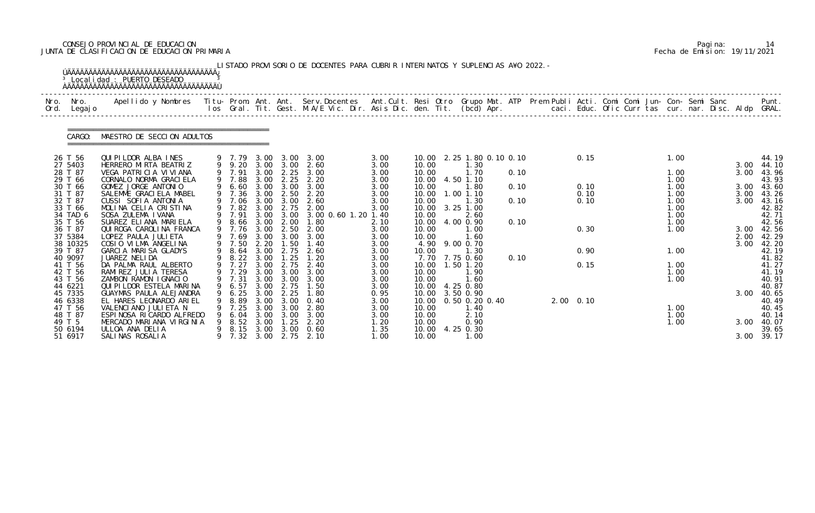## CONSEJO PROVINCIAL DE EDUCACION Pagina: 14 JUNTA DE CLASIFICACION DE EDUCACION PRIMARIA Fecha de Emision: 19/11/2021

| Nro.<br>Ord. | Nro.<br>Legaj o     | Apellido y Nombres - Titu- Prom. Ant. Ant. Serv.Docentes - Ant.Cult. Resi Otro Grupo Mat. ATP - Prem Publi Acti. Comi Comi Jun- Con- Semi Sanc |                       |              |              | los Gral. Tit. Gest. M.A/E Vic. Dir. Asis Dic. den. Tit. (bcd) Apr.        caci. Educ. Ofic Curr tas cur. nar. Disc. Aldp GRAL. |              |                |                           |      |                |      |  |              |      | Punt.               |
|--------------|---------------------|------------------------------------------------------------------------------------------------------------------------------------------------|-----------------------|--------------|--------------|---------------------------------------------------------------------------------------------------------------------------------|--------------|----------------|---------------------------|------|----------------|------|--|--------------|------|---------------------|
|              | CARGO:              | MAESTRO DE SECCION ADULTOS                                                                                                                     |                       |              |              |                                                                                                                                 |              |                |                           |      |                |      |  |              |      |                     |
|              | 26 T 56             | QUI PI LDOR ALBA INES                                                                                                                          |                       |              |              | 9 7.79 3.00 3.00 3.00                                                                                                           | 3.00         |                | 10.00 2.25 1.80 0.10 0.10 |      |                | 0.15 |  | 1.00         |      | 44.19               |
|              | 27 5403<br>28 T 87  | HERRERO MIRTA BEATRIZ<br>VEGA PATRICIA VIVIANA                                                                                                 |                       |              |              | 9 9.20 3.00 3.00 2.60<br>9 7.91 3.00 2.25 3.00                                                                                  | 3.00<br>3.00 | 10.00<br>10.00 | 1.30<br>1.70              | 0.10 |                |      |  | 1.00         | 3.00 | 3.00 44.10<br>43.96 |
|              | 29 T 66             | CORNALO NORMA GRACI ELA                                                                                                                        | 9 7.88                |              |              | 3.00 2.25 2.20                                                                                                                  | 3.00         | 10.00          | 4.50 1.10                 |      |                |      |  | 1.00         |      | 43.93               |
|              | 30 T 66             | GOMEZ JORGE ANTONIO                                                                                                                            |                       |              |              | 9 6.60 3.00 3.00 3.00                                                                                                           | 3.00         | 10.00          | 1.80                      | 0.10 |                | 0.10 |  | 1.00         |      | 3.00 43.60          |
|              | 31 T 87             | SALEMME GRACIELA MABEL                                                                                                                         |                       |              |              | 9 7.36 3.00 2.50 2.20                                                                                                           | 3.00         |                | 10.00  1.00  1.10         |      |                | 0.10 |  | 1.00         | 3.00 | 43.26               |
|              | 32 T 87             | CUSSI SOFIA ANTONIA                                                                                                                            | 9 7.06 3.00 3.00      |              |              | 2.60                                                                                                                            | 3.00         | 10.00          | 1.30                      | 0.10 |                | 0.10 |  | 1.00         | 3.00 | 43.16               |
|              | 33 T 66<br>34 TAD 6 | MOLINA CELIA CRISTINA<br>SOSA ZULEMA I VANA                                                                                                    |                       |              |              | 9 7.82 3.00 2.75 2.00<br>9 7.91 3.00 3.00 3.00 0.60 1.20 1.40                                                                   | 3.00         | 10.00<br>10.00 | $3.25$ 1.00<br>2.60       |      |                |      |  | 1.00<br>1.00 |      | 42.82<br>42.71      |
|              | 35 T 56             | SUAREZ ELIANA MARIELA                                                                                                                          | 9 8.66 3.00 2.00      |              |              | 1.80                                                                                                                            | 2.10         | 10.00          | 4.00 0.90                 | 0.10 |                |      |  | 1.00         |      | 42.56               |
|              | 36 T 87             | QUI ROGA CAROLINA FRANCA                                                                                                                       | 9 7.76                |              |              | 3.00 2.50 2.00                                                                                                                  | 3.00         | 10.00          | 1.00                      |      |                | 0.30 |  | 1.00         |      | 3.00 42.56          |
|              | 37 5384             | LOPEZ PAULA JULIETA                                                                                                                            | 9 7.69                |              |              | 3.00 3.00 3.00                                                                                                                  | 3.00         | 10.00          | 1.60                      |      |                |      |  |              | 2.00 | 42.29               |
|              | 38 10325            | COSIO VILMA ANGELINA                                                                                                                           | 9 7.50                | 2.20         | 1.50         | 1.40                                                                                                                            | 3.00         |                | 4.90 9.00 0.70            |      |                |      |  |              | 3.00 | 42.20               |
|              | 39 T 87             | GARCIA MARISA GLADYS                                                                                                                           | 9 8.64                | 3.00         |              | 2.75 2.60                                                                                                                       | 3.00         | 10.00          | 1.30                      |      |                | 0.90 |  | 1.00         |      | 42.19               |
|              | 40 9097<br>41 T 56  | JUAREZ NELIDA                                                                                                                                  | 9 8.22 3.00<br>9 7.27 | 3.00         | 1.25<br>2.75 | 1. 20<br>2.40                                                                                                                   | 3.00         |                | 7.70 7.75 0.60            | 0.10 |                |      |  |              |      | 41.82               |
|              | 42 T 56             | DA PALMA RAUL ALBERTO<br>RAMIREZ JULIA TERESA                                                                                                  | 9 7.29                |              |              | 3.00 3.00 3.00                                                                                                                  | 3.00<br>3.00 | 10.00<br>10.00 | 1.50 1.20<br>1.90         |      |                | 0.15 |  | 1.00<br>1.00 |      | 41.27<br>41.19      |
|              | 43 T 56             | ZAMBON RAMON IGNACIO                                                                                                                           |                       |              |              | 9 7.31 3.00 3.00 3.00                                                                                                           | 3.00         | 10.00          | 1.60                      |      |                |      |  | 1.00         |      | 40.91               |
|              | 44 6221             | QUI PI LDOR ESTELA MARINA                                                                                                                      |                       |              |              | 9 6.57 3.00 2.75 1.50                                                                                                           | 3.00         |                | 10.00 4.25 0.80           |      |                |      |  |              |      | 40.87               |
|              | 45 7335             | GUAYMAS PAULA ALEJANDRA                                                                                                                        | 6.25                  | 3.00         | 2.25         | 1.80                                                                                                                            | 0.95         |                | 10.00 3.50 0.90           |      |                |      |  |              |      | 3.00 40.65          |
|              | 46 6338             | EL HARES LEONARDO ARIEL                                                                                                                        | 8.89                  | 3.00         | 3.00         | 0.40                                                                                                                            | 3.00         | 10.00          | 0.50 0.20 0.40            |      | $2.00 \t 0.10$ |      |  |              |      | 40.49               |
|              | 47 T 56             | VALENCIANO JULIETA N                                                                                                                           | 7.25                  | 3.00         | 3.00         | 2.80                                                                                                                            | 3.00         | 10.00          | 1.40                      |      |                |      |  | 1.00         |      | 40.45               |
|              | 48 T 87             | ESPINOSA RICARDO ALFREDO                                                                                                                       | 6.04                  | 3.00         | 3.00         | 3.00                                                                                                                            | 3.00         | 10.00          | 2.10                      |      |                |      |  | 1.00         |      | 40.14               |
|              | 49 T 5<br>50 6194   | MERCADO MARIANA VIRGINIA<br>ULLOA ANA DELIA                                                                                                    | 8.52<br>8.15          | 3.00<br>3.00 | 1.25<br>3.00 | 2.20<br>0.60                                                                                                                    | 1.20<br>1.35 | 10.00<br>10.00 | 0.90<br>4.25 0.30         |      |                |      |  | 1.00         | 3.00 | 40.07<br>39.65      |
|              | 51 6917             | SALINAS ROSALIA                                                                                                                                | 7.32                  | 3.00         | 2.75         | 2.10                                                                                                                            | 1.00         | 10.00          | 1.00                      |      |                |      |  |              |      | 3.00 39.17          |

|  | Pagi na: | 14                           |
|--|----------|------------------------------|
|  |          | Fecha de Emision: 19/11/2021 |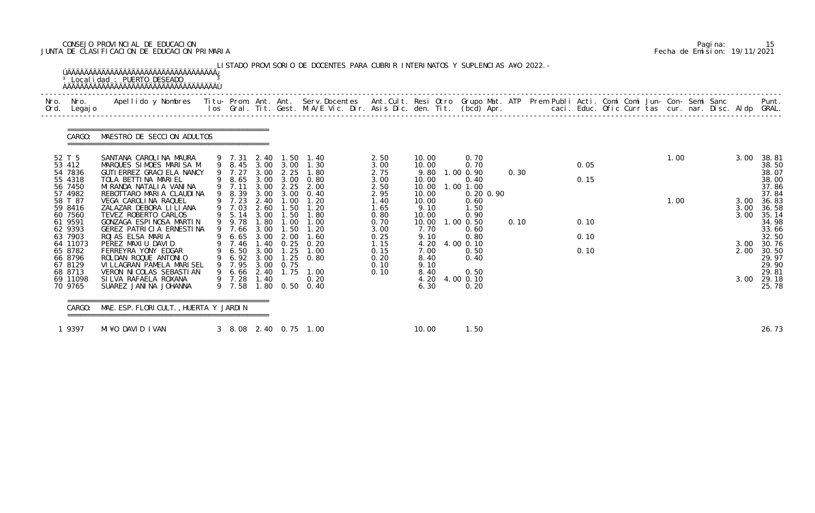## CONSEJO PROVINCIAL DE EDUCACION Pagina: 15 JUNTA DE CLASIFICACION DE EDUCACION PRIMARIA Fecha de Emision: 19/11/2021

| Nro.             | Nro.<br>Ord. Legajo                                 | Apellido y Nombres  Titu- Prom. Ant. Ant.  Serv.Docentes  Ant.Cult. Resi Otro  Grupo Mat. ATP  Prem Publi Acti. Comi Comi Jun- Con- Semi Sanc              Punt.<br>Ios Gral. Tit. Gest. M.A/E Vic. Dir. Asis Dic. den. Tit. (bcd |                                                                    |                              |                                      |                                                                                        |                                              |                                                   |                                                                  |      |              |  |      |                      |                                                    |
|------------------|-----------------------------------------------------|-----------------------------------------------------------------------------------------------------------------------------------------------------------------------------------------------------------------------------------|--------------------------------------------------------------------|------------------------------|--------------------------------------|----------------------------------------------------------------------------------------|----------------------------------------------|---------------------------------------------------|------------------------------------------------------------------|------|--------------|--|------|----------------------|----------------------------------------------------|
|                  | CARGO:                                              | MAESTRO DE SECCION ADULTOS                                                                                                                                                                                                        |                                                                    |                              |                                      |                                                                                        |                                              |                                                   |                                                                  |      |              |  |      |                      |                                                    |
| 52 T 5<br>53 412 | 54 7836<br>55 4318<br>56 7450<br>57 4982            | SANTANA CAROLINA MAURA<br>MARQUES SIMOES MARISA M<br>GUTI ERREZ GRACI ELA NANCY<br>TOLA BETTINA MARIEL<br>MI RANDA NATALI A VANI NA<br>REBOTTARO MARIA CLAUDINA                                                                   | 9 7.31<br>9 7.27<br>9 7.11<br>9 8.39                               | 3.00<br>3.00                 | 9 8.45 3.00 3.00<br>2.25             | 2.40 1.50 1.40<br>1.30<br>3.00 2.25 1.80<br>9 8.65 3.00 3.00 0.80<br>2.00<br>3.00 0.40 | 2.50<br>3.00<br>2.75<br>3.00<br>2.50<br>2.95 | 10.00<br>10.00<br>9.80<br>10.00<br>10.00<br>10.00 | 0.70<br>0.70<br>1.00 0.90<br>0.40<br>1.00 1.00<br>$0.20 \, 0.90$ | 0.30 | 0.05<br>0.15 |  | 1.00 | 3.00                 | 38.81<br>38.50<br>38.07<br>38.00<br>37.86<br>37.84 |
| 61 9591          | 58 T 87<br>59 8416<br>60 7560<br>62 9393<br>63 7903 | VEGA CAROLINA RAQUEL<br>ZALAZAR DEBORA LILIANA<br>TEVEZ ROBERTO CARLOS<br>GONZAGA ESPINOSA MARTIN<br>GEREZ PATRICIA ERNESTINA<br>ROJAS ELSA MARIA                                                                                 | 9 7.23<br>9 7.03<br>9 5.14 3.00<br>9 9.78<br>9 7.66<br>9 6.65 3.00 | 2.40<br>2.60<br>1.80<br>3.00 | 1.00<br>1.50<br>1.00<br>1.50<br>2.00 | 1.20<br>1.20<br>1.50 1.80<br>1.00<br>1.20<br>1.60                                      | 1.40<br>1.65<br>0.80<br>0.70<br>3.00<br>0.25 | 10.00<br>9.10<br>10.00<br>10.00<br>7.70<br>9.10   | 0.60<br>1.50<br>0.90<br>$1.00$ $0.50$<br>0.60<br>0.80            | 0.10 | 0.10<br>0.10 |  | 1.00 | 3.00<br>3.00<br>3.00 | 36.83<br>36.58<br>35.14<br>34.98<br>33.66<br>32.50 |
|                  | 64 11073<br>65 8782<br>66 8796<br>67 8129           | PEREZ MAXIU DAVID<br>FERREYRA YONY EDGAR<br>ROLDAN ROQUE ANTONIO<br>VI LLAGRAN PAMELA MARI SEL                                                                                                                                    | 9 7.46<br>9 6.50<br>9 6.92 3.00<br>9 7.95                          | 1.40<br>3.00<br>3.00         | 0.25<br>1.25<br>0.75                 | 0.20<br>1.00<br>$1.25 \quad 0.80$                                                      | 1.15<br>0.15<br>0.20<br>0.10                 | 4.20<br>7.00<br>8.40<br>9.10                      | 4.00 0.10<br>0.50<br>0.40                                        |      | 0.10         |  |      | 3.00<br>2.00         | 30.76<br>30.50<br>29.97<br>29.90                   |
|                  | 68 8713<br>69 11098<br>70 9765                      | VERON NI COLAS SEBASTI AN<br>SILVA RAFAELA ROXANA<br>SUAREZ JANINA JOHANNA                                                                                                                                                        | 9 7.28 1.40<br>9 7.58                                              |                              |                                      | 9 6.66 2.40 1.75 1.00<br>0.20<br>1.80 0.50 0.40                                        | 0.10                                         | 8.40<br>4.20<br>6.30                              | 0.50<br>4.00 0.10<br>0.20                                        |      |              |  |      | 3.00                 | 29.81<br>29.18<br>25.78                            |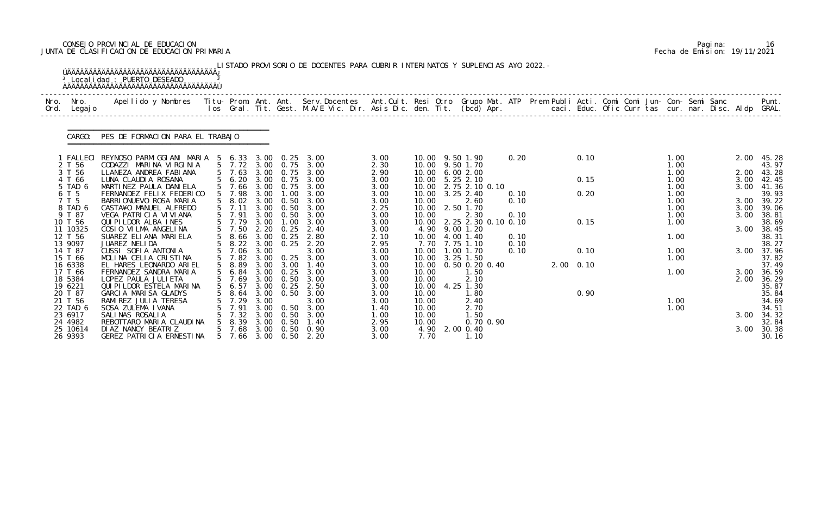## CONSEJO PROVINCIAL DE EDUCACION Pagina: 16 JUNTA DE CLASIFICACION DE EDUCACION PRIMARIA Fecha de Emision: 19/11/2021

|              |                     | <sup>3</sup> Local i dad: PUERTO DESEADO<br><b>AAAAAAAAAAAAAAAAAAAAAAAAAAAAAAAAAAAA</b>                                                        |                |                         |              |                                        | LISTADO PROVISORIO DE DOCENTES PARA CUBRIR INTERINATOS Y SUPLENCIAS A¥O 2022. -                                                |              |                |                          |      |                   |  |              |  |              |                |
|--------------|---------------------|------------------------------------------------------------------------------------------------------------------------------------------------|----------------|-------------------------|--------------|----------------------------------------|--------------------------------------------------------------------------------------------------------------------------------|--------------|----------------|--------------------------|------|-------------------|--|--------------|--|--------------|----------------|
| Nro.<br>Ord. | Nro.<br>Legaj o     | Apellido y Nombres - Titu- Prom. Ant. Ant. Serv.Docentes - Ant.Cult. Resi Otro Grupo Mat. ATP - Prem Publi Acti. Comi Comi Jun- Con- Semi Sanc |                |                         |              |                                        | los Gral. Tit. Gest. M.A/E Vic. Dir. Asis Dic. den. Tit. (bcd) Apr.       caci. Educ. Ofic Curr tas cur. nar. Disc. Aldp GRAL. |              |                |                          |      |                   |  |              |  |              | Punt.          |
|              | CARGO:              | PES DE FORMACION PARA EL TRABAJO                                                                                                               |                |                         |              |                                        |                                                                                                                                |              |                |                          |      |                   |  |              |  |              |                |
|              |                     | 1 FALLECI REYNOSO PARMIGGIANI MARIA 5 6.33                                                                                                     |                |                         |              | 3.00 0.25                              | 3.00                                                                                                                           | 3.00         |                | 10.00 9.50 1.90          | 0.20 | 0.10              |  | 1.00         |  | 2.00         | 45.28          |
|              | 2 T 56              | CODAZZI MARINA VIRGINIA                                                                                                                        |                | 5 7.72                  | 3.00         | 0. 75                                  | 3.00                                                                                                                           | 2.30         |                | 10.00 9.50 1.70          |      |                   |  | 1.00         |  |              | 43.97          |
|              | 3 T 56<br>4 T 66    | LLANEZA ANDREA FABIANA<br>LUNA CLAUDIA ROSANA                                                                                                  |                | 5 7.63<br>$5\quad 6.20$ |              | 3.00 0.75                              | 3.00 0.75 3.00<br>3.00                                                                                                         | 2.90         | 10.00<br>10.00 | 6.002.00<br>$5.25$ 2.10  |      | 0.15              |  | 1.00<br>1.00 |  | 2.00<br>3.00 | 43.28<br>42.45 |
|              | 5 TAD 6             | MARTINEZ PAULA DANIELA                                                                                                                         |                | 5 7.66                  | 3.00         | 0. 75                                  | 3.00                                                                                                                           | 3.00<br>3.00 | 10.00          | 2.75 2.10 0.10           |      |                   |  | 1.00         |  | 3.00         | 41.36          |
|              | 6 T 5               | FERNANDEZ FELIX FEDERICO                                                                                                                       |                | 5 7.98                  | 3.00         | 1.00                                   | 3.00                                                                                                                           | 3.00         | 10.00          | 3.25 2.40                | 0.10 | 0.20              |  | 1.00         |  |              | 39.93          |
|              | 7 T 5               | BARRIONUEVO ROSA MARIA                                                                                                                         |                | 5 8.02                  |              | $3.00 \quad 0.50$                      | 3.00                                                                                                                           | 3.00         | 10.00          | 2.60                     | 0.10 |                   |  | 1.00         |  | 3.00         | 39.22          |
|              | 8 TAD 6             | CASTA¥O MANUEL ALFREDO                                                                                                                         |                | $5$ 7.11                | 3.00         | 0.50                                   | 3.00                                                                                                                           | 2.25         | 10.00          | 2.50 1.70                |      |                   |  | 1.00         |  | 3.00         | 39.06          |
|              | 9 T 87              | VEGA PATRICIA VIVIANA                                                                                                                          |                | 5 7.91                  |              | 3.00 0.50                              | 3.00                                                                                                                           | 3.00         | 10.00          | 2.30                     | 0.10 |                   |  | 1.00         |  | 3.00         | 38.81          |
|              | 10 T 56             | QUI PI LDOR ALBA INES                                                                                                                          |                | 5 7.79                  | 3.00         | 1.00                                   | 3.00                                                                                                                           | 3.00         | 10.00          | 2. 25 2. 30 0. 10 0. 10  |      | 0.15              |  | 1.00         |  |              | 38.69          |
|              | 11 10325            | COSIO VILMA ANGELINA                                                                                                                           |                | $5 \quad 7.50$          | 2.20         | 0.25                                   | 2.40                                                                                                                           | 3.00         | 4.90           | 9.00 1.20                |      |                   |  |              |  | 3.00         | 38.45          |
|              | 12 T 56             | SUAREZ ELIANA MARIELA                                                                                                                          |                | 5 8.66                  | 3.00         | 0.25                                   | 2.80                                                                                                                           | 2.10         | 10.00          | 4.00 1.40                | 0.10 |                   |  | 1.00         |  |              | 38.31          |
|              | 13 9097             | JUAREZ NELIDA                                                                                                                                  |                | 5 8.22                  | 3.00         | 0.25                                   | 2.20                                                                                                                           | 2.95         |                | 7.70 7.75 1.10           | 0.10 |                   |  |              |  |              | 38.27          |
|              | 14 T 87<br>15 T 66  | CUSSI SOFIA ANTONIA<br>MOLINA CELIA CRISTINA                                                                                                   | 5 <sup>5</sup> | 7.06<br>5 7.82          | 3.00<br>3.00 |                                        | 3.00<br>$0.25$ 3.00                                                                                                            | 3.00<br>3.00 | 10.00<br>10.00 | 1.00 1.70<br>$3.25$ 1.50 | 0.10 | 0.10              |  | 1.00<br>1.00 |  | 3.00         | 37.96<br>37.82 |
|              | 16 6338             | EL HARES LEONARDO ARIEL                                                                                                                        |                | 5 8.89                  |              | 3.00 3.00                              | 1.40                                                                                                                           | 3.00         | 10.00          | 0.50 0.20 0.40           |      | $2.00 \quad 0.10$ |  |              |  |              | 37.49          |
|              | 17 T 66             | FERNANDEZ SANDRA MARIA                                                                                                                         |                | 5 6.84                  |              | 3.00 0.25                              | 3.00                                                                                                                           | 3.00         | 10.00          | 1.50                     |      |                   |  | 1.00         |  | 3.00         | 36.59          |
|              | 18 5384             | LOPEZ PAULA JULI ETA                                                                                                                           |                | 5 7.69                  |              | 3.00 0.50                              | 3.00                                                                                                                           | 3.00         | 10.00          | 2.10                     |      |                   |  |              |  | 2.00         | 36.29          |
|              | 19 6221             | QUI PI LDOR ESTELA MARINA                                                                                                                      |                | 5 6.57                  |              | $3.00 \quad 0.25$                      | 2.50                                                                                                                           | 3.00         | 10.00          | 4.25 1.30                |      |                   |  |              |  |              | 35.87          |
|              | 20 T 87             | GARCIA MARISA GLADYS                                                                                                                           |                | 8.64                    | 3.00         | 0.50                                   | 3.00                                                                                                                           | 3.00         | 10.00          | 1.80                     |      | 0.90              |  |              |  |              | 35.84          |
|              | 21 T 56             | RAMIREZ JULIA TERESA                                                                                                                           |                |                         | 3.00         |                                        | 3.00                                                                                                                           | 3.00         | 10.00          | 2.40                     |      |                   |  | 1.00         |  |              | 34.69          |
|              | 22 TAD 6            | SOSA ZULEMA I VANA                                                                                                                             |                | 7.91                    | 3.00         | 0.50                                   | 3.00                                                                                                                           | 1.40         | 10.00          | 2.70                     |      |                   |  | 1.00         |  |              | 34.51          |
|              | 23 6917             | SALINAS ROSALIA                                                                                                                                |                | 7.32                    | 3.00         | 0.50                                   | 3.00                                                                                                                           | 1.00         | 10.00          | 1.50                     |      |                   |  |              |  | 3.00         | 34.32          |
|              | 24 4982             | REBOTTARO MARIA CLAUDINA                                                                                                                       |                | 8.39                    | 3.00         | 0.50                                   | 1.40                                                                                                                           | 2.95         | 10.00          | 0.70 0.90                |      |                   |  |              |  |              | 32.84          |
|              | 25 10614<br>26 9393 | DI AZ NANCY BEATRIZ<br>GEREZ PATRICIA ERNESTINA                                                                                                |                | 7.68<br>5 7.66          |              | $3.00 \quad 0.50$<br>$3.00 \quad 0.50$ | 0.90<br>2.20                                                                                                                   | 3.00<br>3.00 | 4.90<br>7.70   | 2.00 0.40<br>1.10        |      |                   |  |              |  | 3.00         | 30.38<br>30.16 |
|              |                     |                                                                                                                                                |                |                         |              |                                        |                                                                                                                                |              |                |                          |      |                   |  |              |  |              |                |

|  | Pagi na: | 16                           |
|--|----------|------------------------------|
|  |          | Fecha de Emision: 19/11/2021 |